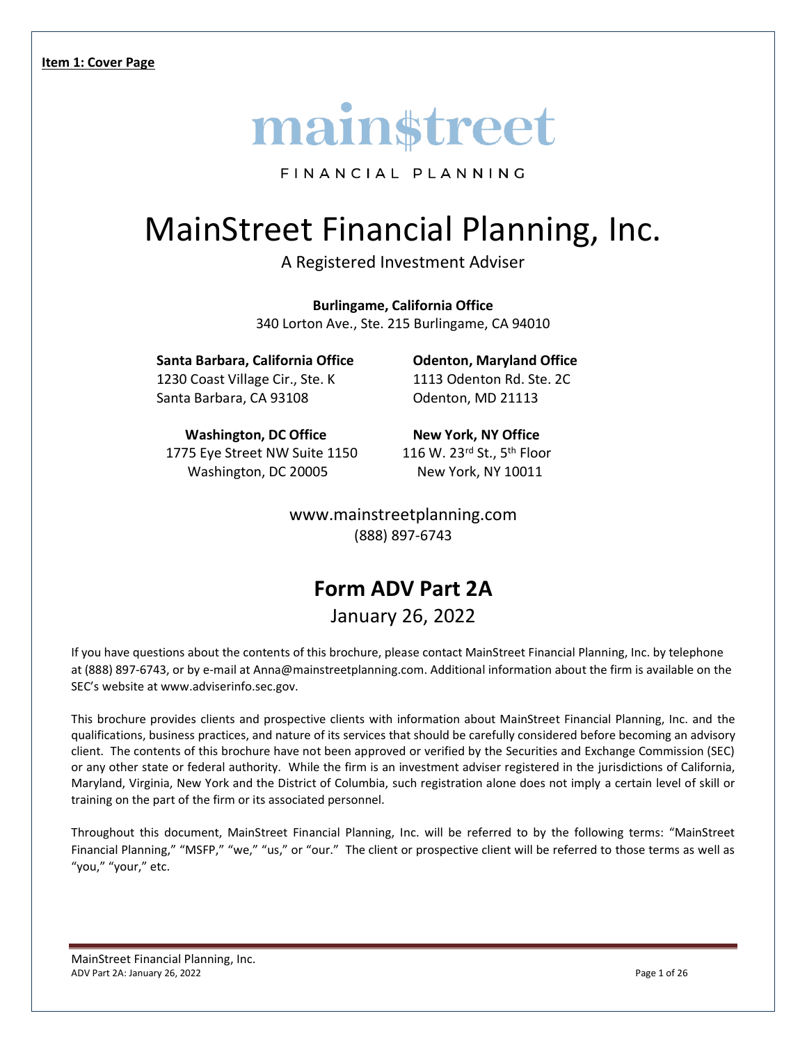

FINANCIAL PLANNING

# MainStreet Financial Planning, Inc.

A Registered Investment Adviser

**Burlingame, California Office** 340 Lorton Ave., Ste. 215 Burlingame, CA 94010

**Santa Barbara, California Office Odenton, Maryland Office** 1230 Coast Village Cir., Ste. K 1113 Odenton Rd. Ste. 2C Santa Barbara, CA 93108 **Odenton**, MD 21113

**Washington, DC Office New York, NY Office** 1775 Eye Street NW Suite 1150 116 W. 23rd St., 5th Floor Washington, DC 20005 New York, NY 10011

www.mainstreetplanning.com (888) 897-6743

## **Form ADV Part 2A** January 26, 2022

If you have questions about the contents of this brochure, please contact MainStreet Financial Planning, Inc. by telephone at (888) 897-6743, or by e-mail at Anna@mainstreetplanning.com. Additional information about the firm is available on the SEC's website at www.adviserinfo.sec.gov.

This brochure provides clients and prospective clients with information about MainStreet Financial Planning, Inc. and the qualifications, business practices, and nature of its services that should be carefully considered before becoming an advisory client. The contents of this brochure have not been approved or verified by the Securities and Exchange Commission (SEC) or any other state or federal authority. While the firm is an investment adviser registered in the jurisdictions of California, Maryland, Virginia, New York and the District of Columbia, such registration alone does not imply a certain level of skill or training on the part of the firm or its associated personnel.

Throughout this document, MainStreet Financial Planning, Inc. will be referred to by the following terms: "MainStreet Financial Planning," "MSFP," "we," "us," or "our." The client or prospective client will be referred to those terms as well as "you," "your," etc.

MainStreet Financial Planning, Inc. ADV Part 2A: January 26, 2022 **Page 1 of 26** and 26 and 26 and 26 and 26 and 26 and 26 and 26 and 26 and 26 and 26 and 26 and 26 and 26 and 26 and 26 and 26 and 26 and 26 and 26 and 26 and 26 and 26 and 26 and 26 and 26 an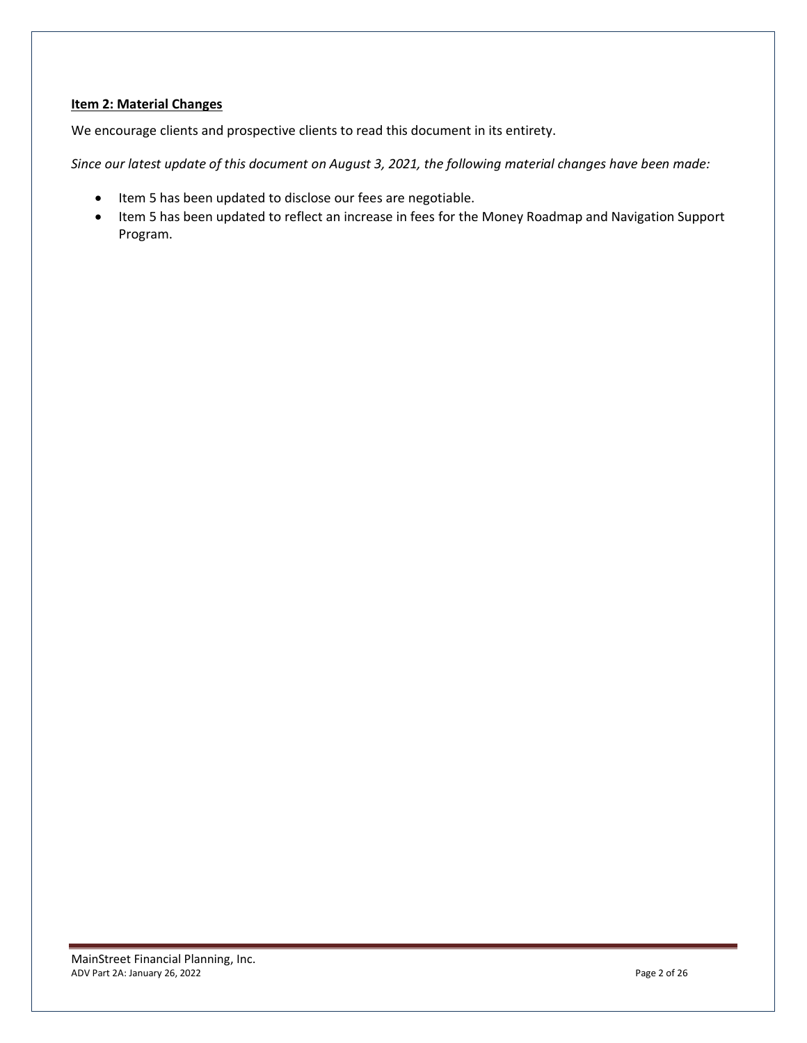#### **Item 2: Material Changes**

We encourage clients and prospective clients to read this document in its entirety.

*Since our latest update of this document on August 3, 2021, the following material changes have been made:* 

- Item 5 has been updated to disclose our fees are negotiable.
- Item 5 has been updated to reflect an increase in fees for the Money Roadmap and Navigation Support Program.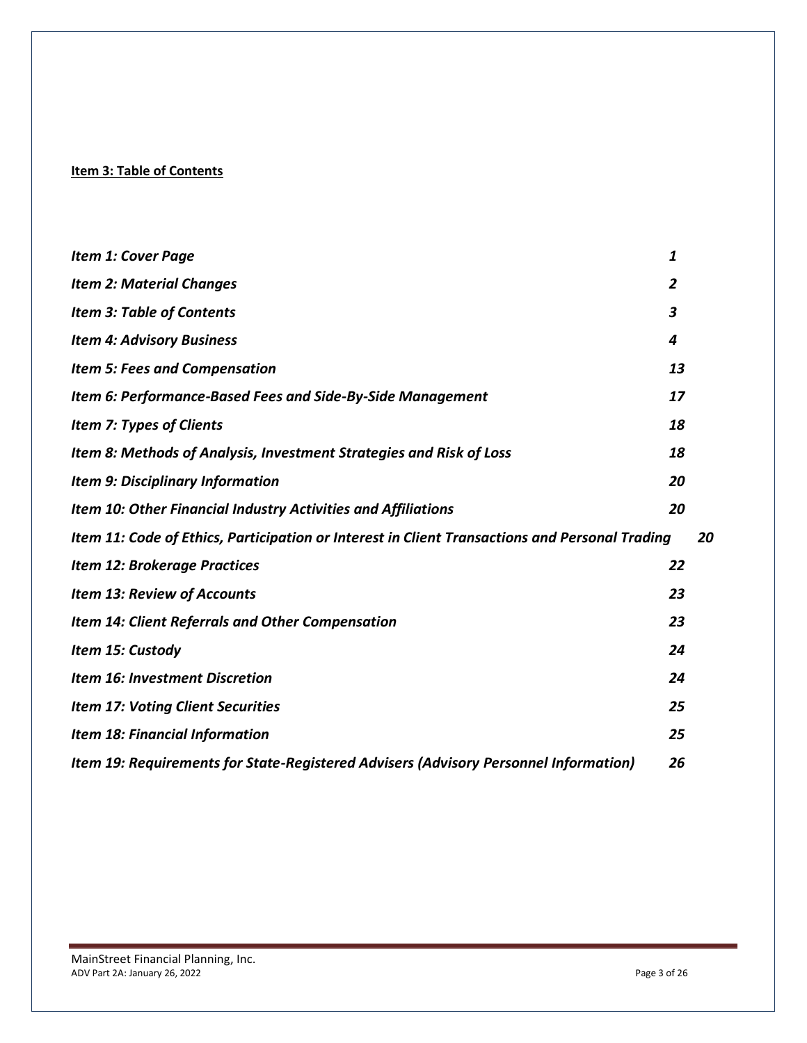### <span id="page-2-0"></span>**Item 3: Table of Contents**

| <b>Item 1: Cover Page</b>                                                                      | 1  |    |
|------------------------------------------------------------------------------------------------|----|----|
| <b>Item 2: Material Changes</b>                                                                | 2  |    |
| <b>Item 3: Table of Contents</b>                                                               | 3  |    |
| <b>Item 4: Advisory Business</b>                                                               | 4  |    |
| <b>Item 5: Fees and Compensation</b>                                                           | 13 |    |
| Item 6: Performance-Based Fees and Side-By-Side Management                                     | 17 |    |
| <b>Item 7: Types of Clients</b>                                                                | 18 |    |
| Item 8: Methods of Analysis, Investment Strategies and Risk of Loss                            | 18 |    |
| <b>Item 9: Disciplinary Information</b>                                                        | 20 |    |
| Item 10: Other Financial Industry Activities and Affiliations                                  | 20 |    |
| Item 11: Code of Ethics, Participation or Interest in Client Transactions and Personal Trading |    | 20 |
| <b>Item 12: Brokerage Practices</b>                                                            | 22 |    |
| <b>Item 13: Review of Accounts</b>                                                             | 23 |    |
| <b>Item 14: Client Referrals and Other Compensation</b>                                        | 23 |    |
| Item 15: Custody                                                                               | 24 |    |
| <b>Item 16: Investment Discretion</b>                                                          | 24 |    |
| <b>Item 17: Voting Client Securities</b>                                                       | 25 |    |
| <b>Item 18: Financial Information</b>                                                          | 25 |    |
| Item 19: Requirements for State-Registered Advisers (Advisory Personnel Information)           | 26 |    |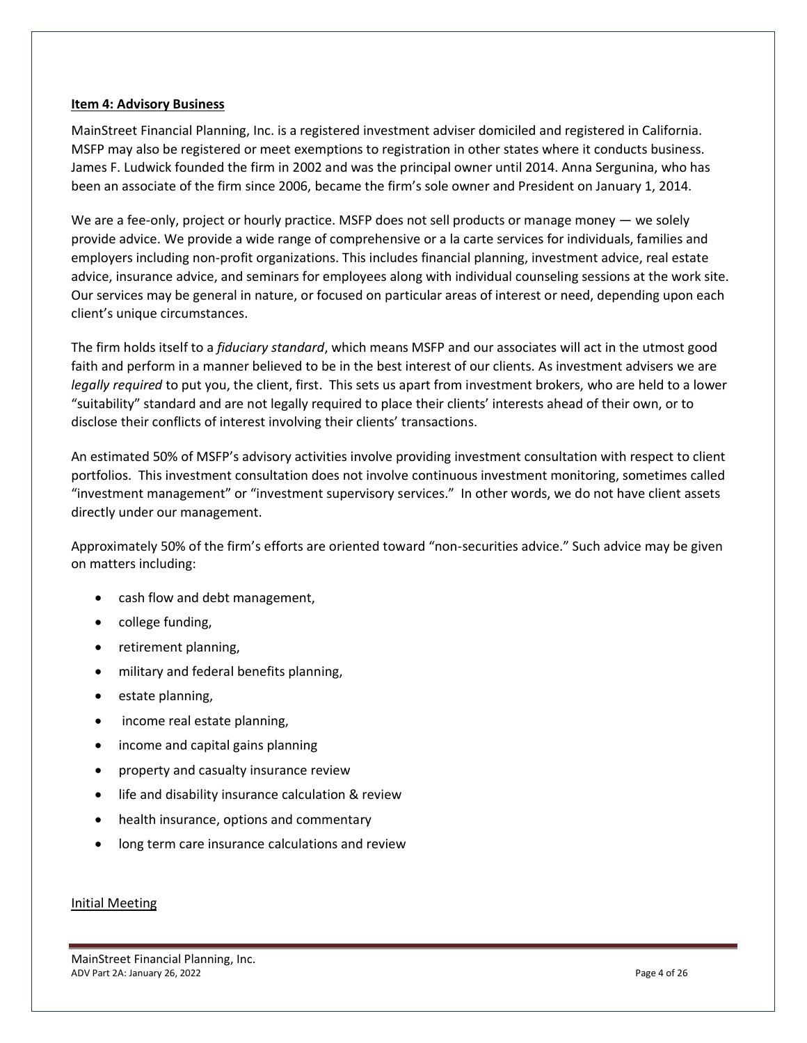#### <span id="page-3-0"></span>**Item 4: Advisory Business**

MainStreet Financial Planning, Inc. is a registered investment adviser domiciled and registered in California. MSFP may also be registered or meet exemptions to registration in other states where it conducts business. James F. Ludwick founded the firm in 2002 and was the principal owner until 2014. Anna Sergunina, who has been an associate of the firm since 2006, became the firm's sole owner and President on January 1, 2014.

We are a fee-only, project or hourly practice. MSFP does not sell products or manage money — we solely provide advice. We provide a wide range of comprehensive or a la carte services for individuals, families and employers including non-profit organizations. This includes financial planning, investment advice, real estate advice, insurance advice, and seminars for employees along with individual counseling sessions at the work site. Our services may be general in nature, or focused on particular areas of interest or need, depending upon each client's unique circumstances.

The firm holds itself to a *fiduciary standard*, which means MSFP and our associates will act in the utmost good faith and perform in a manner believed to be in the best interest of our clients. As investment advisers we are *legally required* to put you, the client, first. This sets us apart from investment brokers, who are held to a lower "suitability" standard and are not legally required to place their clients' interests ahead of their own, or to disclose their conflicts of interest involving their clients' transactions.

An estimated 50% of MSFP's advisory activities involve providing investment consultation with respect to client portfolios. This investment consultation does not involve continuous investment monitoring, sometimes called "investment management" or "investment supervisory services." In other words, we do not have client assets directly under our management.

Approximately 50% of the firm's efforts are oriented toward "non-securities advice." Such advice may be given on matters including:

- cash flow and debt management,
- college funding,
- retirement planning,
- military and federal benefits planning,
- estate planning,
- income real estate planning,
- income and capital gains planning
- property and casualty insurance review
- life and disability insurance calculation & review
- health insurance, options and commentary
- long term care insurance calculations and review

#### Initial Meeting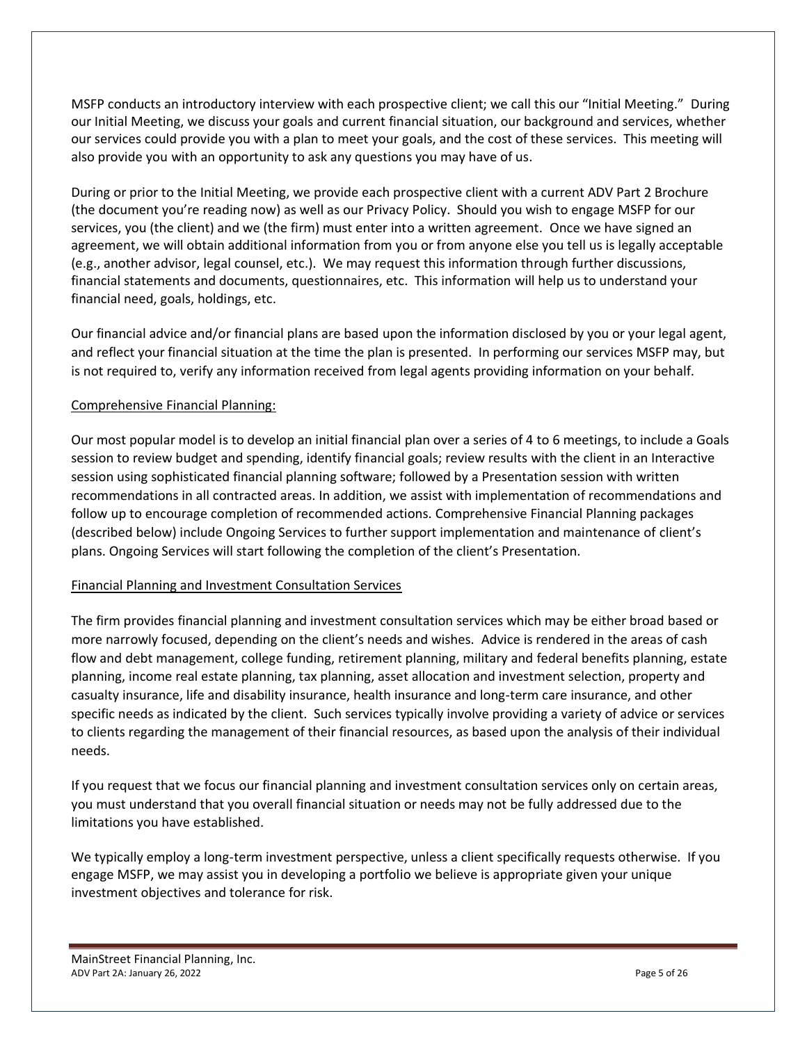MSFP conducts an introductory interview with each prospective client; we call this our "Initial Meeting." During our Initial Meeting, we discuss your goals and current financial situation, our background and services, whether our services could provide you with a plan to meet your goals, and the cost of these services. This meeting will also provide you with an opportunity to ask any questions you may have of us.

During or prior to the Initial Meeting, we provide each prospective client with a current ADV Part 2 Brochure (the document you're reading now) as well as our Privacy Policy. Should you wish to engage MSFP for our services, you (the client) and we (the firm) must enter into a written agreement. Once we have signed an agreement, we will obtain additional information from you or from anyone else you tell us is legally acceptable (e.g., another advisor, legal counsel, etc.). We may request this information through further discussions, financial statements and documents, questionnaires, etc. This information will help us to understand your financial need, goals, holdings, etc.

Our financial advice and/or financial plans are based upon the information disclosed by you or your legal agent, and reflect your financial situation at the time the plan is presented. In performing our services MSFP may, but is not required to, verify any information received from legal agents providing information on your behalf.

#### Comprehensive Financial Planning:

Our most popular model is to develop an initial financial plan over a series of 4 to 6 meetings, to include a Goals session to review budget and spending, identify financial goals; review results with the client in an Interactive session using sophisticated financial planning software; followed by a Presentation session with written recommendations in all contracted areas. In addition, we assist with implementation of recommendations and follow up to encourage completion of recommended actions. Comprehensive Financial Planning packages (described below) include Ongoing Services to further support implementation and maintenance of client's plans. Ongoing Services will start following the completion of the client's Presentation.

#### Financial Planning and Investment Consultation Services

The firm provides financial planning and investment consultation services which may be either broad based or more narrowly focused, depending on the client's needs and wishes. Advice is rendered in the areas of cash flow and debt management, college funding, retirement planning, military and federal benefits planning, estate planning, income real estate planning, tax planning, asset allocation and investment selection, property and casualty insurance, life and disability insurance, health insurance and long-term care insurance, and other specific needs as indicated by the client. Such services typically involve providing a variety of advice or services to clients regarding the management of their financial resources, as based upon the analysis of their individual needs.

If you request that we focus our financial planning and investment consultation services only on certain areas, you must understand that you overall financial situation or needs may not be fully addressed due to the limitations you have established.

We typically employ a long-term investment perspective, unless a client specifically requests otherwise. If you engage MSFP, we may assist you in developing a portfolio we believe is appropriate given your unique investment objectives and tolerance for risk.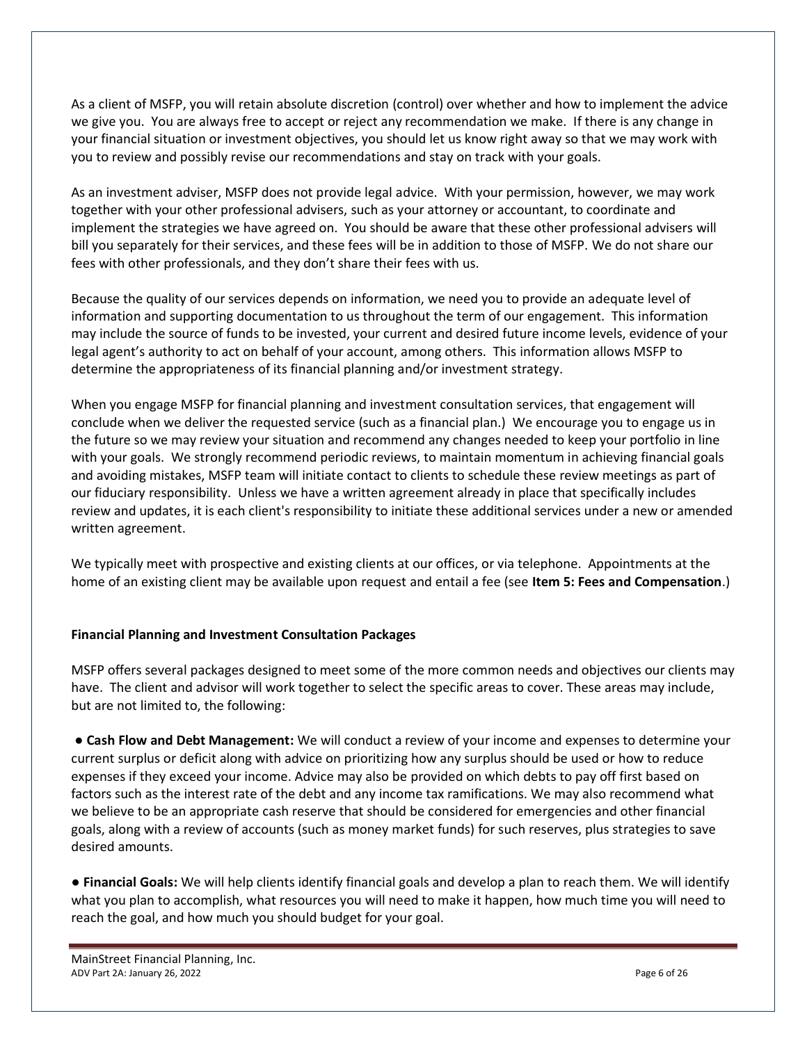As a client of MSFP, you will retain absolute discretion (control) over whether and how to implement the advice we give you. You are always free to accept or reject any recommendation we make. If there is any change in your financial situation or investment objectives, you should let us know right away so that we may work with you to review and possibly revise our recommendations and stay on track with your goals.

As an investment adviser, MSFP does not provide legal advice. With your permission, however, we may work together with your other professional advisers, such as your attorney or accountant, to coordinate and implement the strategies we have agreed on. You should be aware that these other professional advisers will bill you separately for their services, and these fees will be in addition to those of MSFP. We do not share our fees with other professionals, and they don't share their fees with us.

Because the quality of our services depends on information, we need you to provide an adequate level of information and supporting documentation to us throughout the term of our engagement. This information may include the source of funds to be invested, your current and desired future income levels, evidence of your legal agent's authority to act on behalf of your account, among others. This information allows MSFP to determine the appropriateness of its financial planning and/or investment strategy.

When you engage MSFP for financial planning and investment consultation services, that engagement will conclude when we deliver the requested service (such as a financial plan.) We encourage you to engage us in the future so we may review your situation and recommend any changes needed to keep your portfolio in line with your goals. We strongly recommend periodic reviews, to maintain momentum in achieving financial goals and avoiding mistakes, MSFP team will initiate contact to clients to schedule these review meetings as part of our fiduciary responsibility. Unless we have a written agreement already in place that specifically includes review and updates, it is each client's responsibility to initiate these additional services under a new or amended written agreement.

We typically meet with prospective and existing clients at our offices, or via telephone. Appointments at the home of an existing client may be available upon request and entail a fee (see **Item 5: Fees and Compensation**.)

#### **Financial Planning and Investment Consultation Packages**

MSFP offers several packages designed to meet some of the more common needs and objectives our clients may have. The client and advisor will work together to select the specific areas to cover. These areas may include, but are not limited to, the following:

● **Cash Flow and Debt Management:** We will conduct a review of your income and expenses to determine your current surplus or deficit along with advice on prioritizing how any surplus should be used or how to reduce expenses if they exceed your income. Advice may also be provided on which debts to pay off first based on factors such as the interest rate of the debt and any income tax ramifications. We may also recommend what we believe to be an appropriate cash reserve that should be considered for emergencies and other financial goals, along with a review of accounts (such as money market funds) for such reserves, plus strategies to save desired amounts.

● **Financial Goals:** We will help clients identify financial goals and develop a plan to reach them. We will identify what you plan to accomplish, what resources you will need to make it happen, how much time you will need to reach the goal, and how much you should budget for your goal.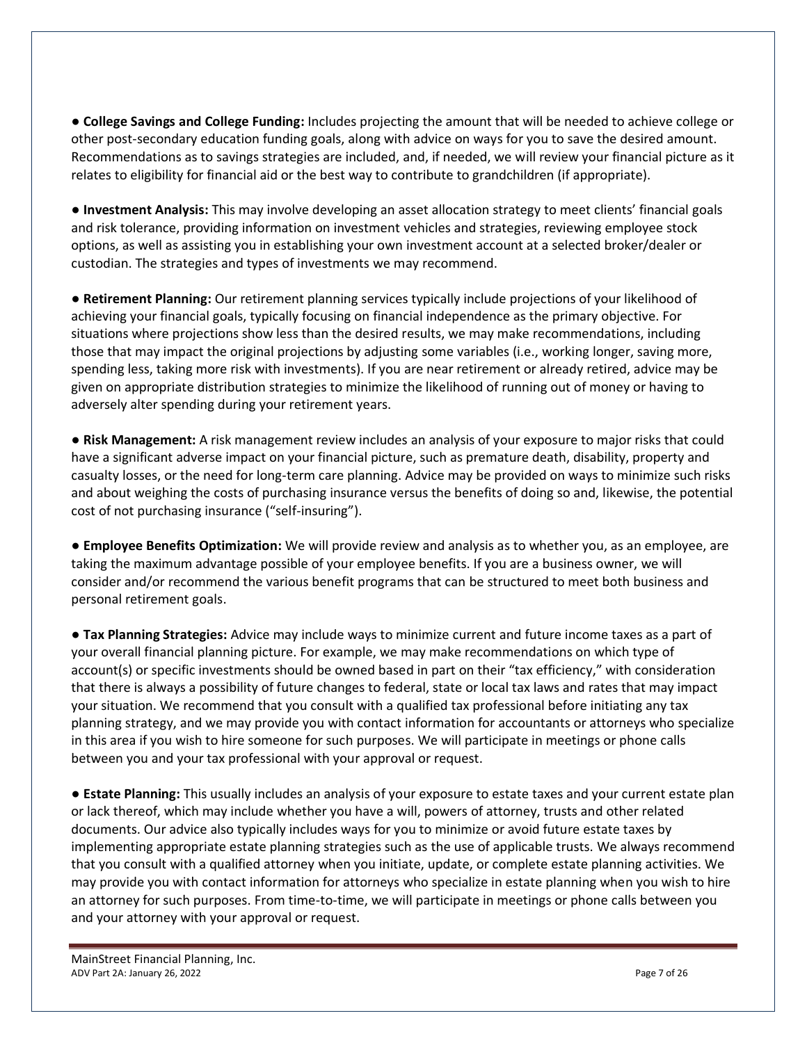● **College Savings and College Funding:** Includes projecting the amount that will be needed to achieve college or other post-secondary education funding goals, along with advice on ways for you to save the desired amount. Recommendations as to savings strategies are included, and, if needed, we will review your financial picture as it relates to eligibility for financial aid or the best way to contribute to grandchildren (if appropriate).

**● Investment Analysis:** This may involve developing an asset allocation strategy to meet clients' financial goals and risk tolerance, providing information on investment vehicles and strategies, reviewing employee stock options, as well as assisting you in establishing your own investment account at a selected broker/dealer or custodian. The strategies and types of investments we may recommend.

● **Retirement Planning:** Our retirement planning services typically include projections of your likelihood of achieving your financial goals, typically focusing on financial independence as the primary objective. For situations where projections show less than the desired results, we may make recommendations, including those that may impact the original projections by adjusting some variables (i.e., working longer, saving more, spending less, taking more risk with investments). If you are near retirement or already retired, advice may be given on appropriate distribution strategies to minimize the likelihood of running out of money or having to adversely alter spending during your retirement years.

● **Risk Management:** A risk management review includes an analysis of your exposure to major risks that could have a significant adverse impact on your financial picture, such as premature death, disability, property and casualty losses, or the need for long-term care planning. Advice may be provided on ways to minimize such risks and about weighing the costs of purchasing insurance versus the benefits of doing so and, likewise, the potential cost of not purchasing insurance ("self-insuring").

● **Employee Benefits Optimization:** We will provide review and analysis as to whether you, as an employee, are taking the maximum advantage possible of your employee benefits. If you are a business owner, we will consider and/or recommend the various benefit programs that can be structured to meet both business and personal retirement goals.

**● Tax Planning Strategies:** Advice may include ways to minimize current and future income taxes as a part of your overall financial planning picture. For example, we may make recommendations on which type of account(s) or specific investments should be owned based in part on their "tax efficiency," with consideration that there is always a possibility of future changes to federal, state or local tax laws and rates that may impact your situation. We recommend that you consult with a qualified tax professional before initiating any tax planning strategy, and we may provide you with contact information for accountants or attorneys who specialize in this area if you wish to hire someone for such purposes. We will participate in meetings or phone calls between you and your tax professional with your approval or request.

● **Estate Planning:** This usually includes an analysis of your exposure to estate taxes and your current estate plan or lack thereof, which may include whether you have a will, powers of attorney, trusts and other related documents. Our advice also typically includes ways for you to minimize or avoid future estate taxes by implementing appropriate estate planning strategies such as the use of applicable trusts. We always recommend that you consult with a qualified attorney when you initiate, update, or complete estate planning activities. We may provide you with contact information for attorneys who specialize in estate planning when you wish to hire an attorney for such purposes. From time-to-time, we will participate in meetings or phone calls between you and your attorney with your approval or request.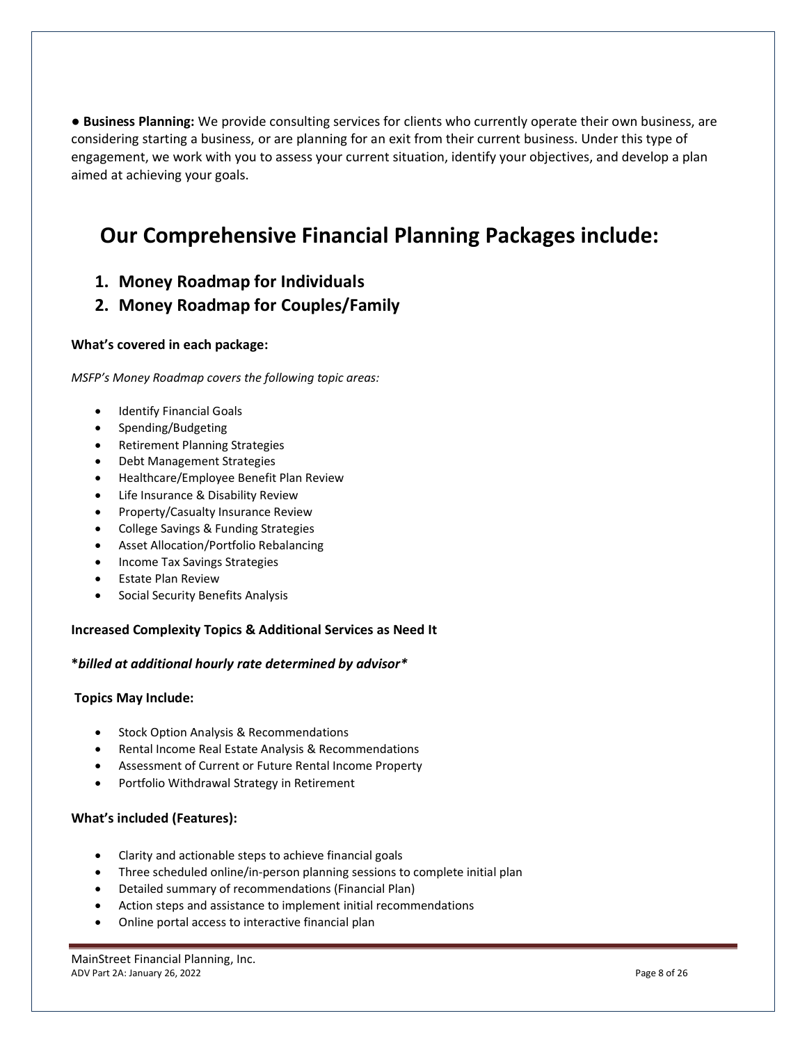**● Business Planning:** We provide consulting services for clients who currently operate their own business, are considering starting a business, or are planning for an exit from their current business. Under this type of engagement, we work with you to assess your current situation, identify your objectives, and develop a plan aimed at achieving your goals.

## **Our Comprehensive Financial Planning Packages include:**

**1. Money Roadmap for Individuals**

## **2. Money Roadmap for Couples/Family**

#### **What's covered in each package:**

*MSFP's Money Roadmap covers the following topic areas:*

- Identify Financial Goals
- Spending/Budgeting
- Retirement Planning Strategies
- Debt Management Strategies
- Healthcare/Employee Benefit Plan Review
- Life Insurance & Disability Review
- Property/Casualty Insurance Review
- College Savings & Funding Strategies
- Asset Allocation/Portfolio Rebalancing
- Income Tax Savings Strategies
- Estate Plan Review
- Social Security Benefits Analysis

#### **Increased Complexity Topics & Additional Services as Need It**

#### **\****billed at additional hourly rate determined by advisor\**

#### **Topics May Include:**

- Stock Option Analysis & Recommendations
- Rental Income Real Estate Analysis & Recommendations
- Assessment of Current or Future Rental Income Property
- Portfolio Withdrawal Strategy in Retirement

#### **What's included (Features):**

- Clarity and actionable steps to achieve financial goals
- Three scheduled online/in-person planning sessions to complete initial plan
- Detailed summary of recommendations (Financial Plan)
- Action steps and assistance to implement initial recommendations
- Online portal access to interactive financial plan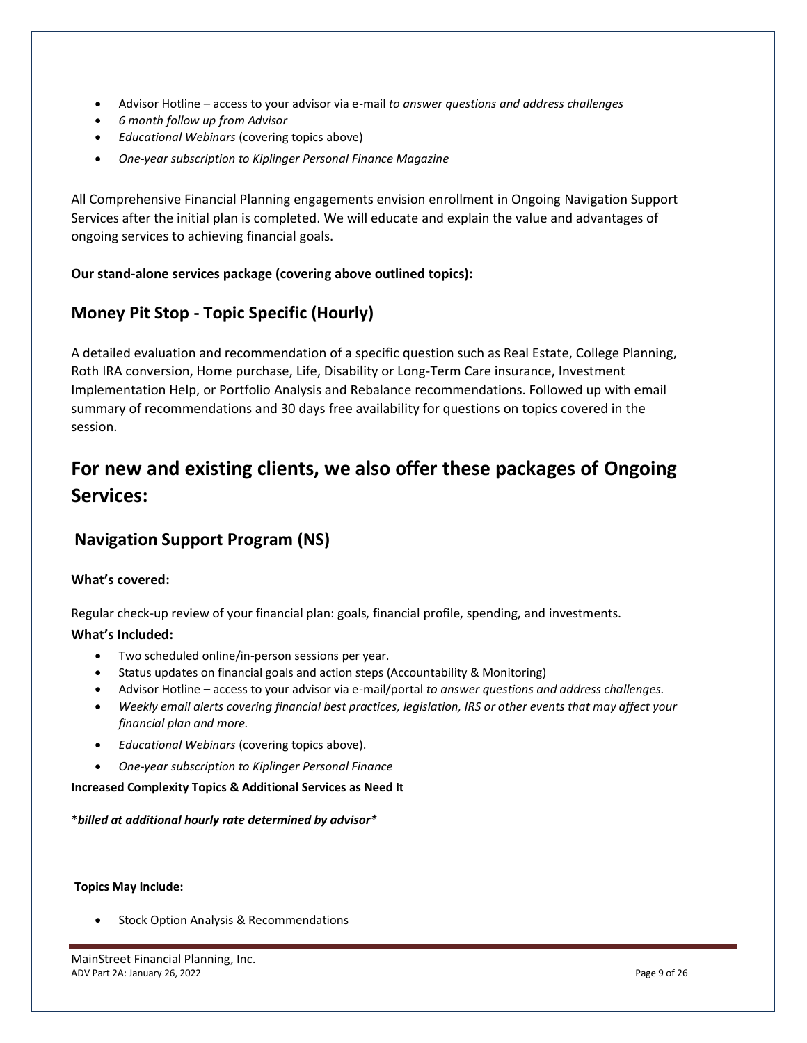- Advisor Hotline access to your advisor via e-mail *to answer questions and address challenges*
- *6 month follow up from Advisor*
- *Educational Webinars* (covering topics above)
- *One-year subscription to Kiplinger Personal Finance Magazine*

All Comprehensive Financial Planning engagements envision enrollment in Ongoing Navigation Support Services after the initial plan is completed. We will educate and explain the value and advantages of ongoing services to achieving financial goals.

#### **Our stand-alone services package (covering above outlined topics):**

## **Money Pit Stop - Topic Specific (Hourly)**

A detailed evaluation and recommendation of a specific question such as Real Estate, College Planning, Roth IRA conversion, Home purchase, Life, Disability or Long-Term Care insurance, Investment Implementation Help, or Portfolio Analysis and Rebalance recommendations. Followed up with email summary of recommendations and 30 days free availability for questions on topics covered in the session.

## **For new and existing clients, we also offer these packages of Ongoing Services:**

## **Navigation Support Program (NS)**

#### **What's covered:**

Regular check-up review of your financial plan: goals, financial profile, spending, and investments.

#### **What's Included:**

- Two scheduled online/in-person sessions per year.
- Status updates on financial goals and action steps (Accountability & Monitoring)
- Advisor Hotline access to your advisor via e-mail/portal *to answer questions and address challenges.*
- *Weekly email alerts covering financial best practices, legislation, IRS or other events that may affect your financial plan and more.*
- *Educational Webinars* (covering topics above).
- *One-year subscription to Kiplinger Personal Finance*

#### **Increased Complexity Topics & Additional Services as Need It**

**\****billed at additional hourly rate determined by advisor\**

#### **Topics May Include:**

• Stock Option Analysis & Recommendations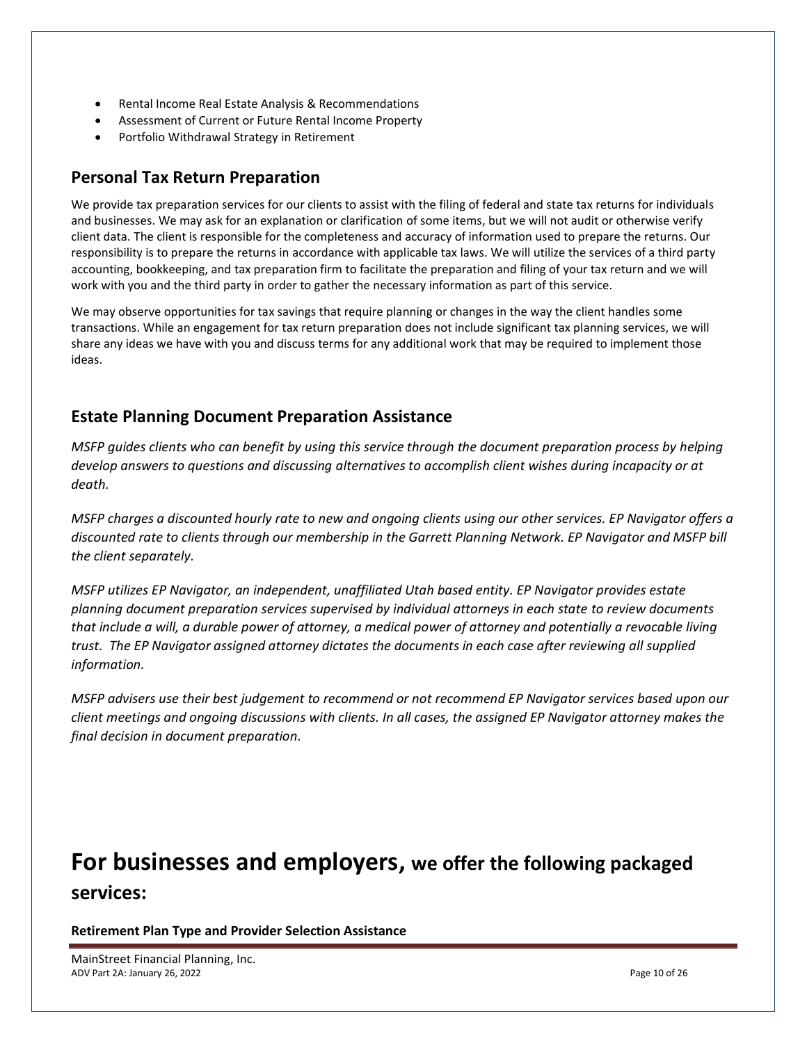- Rental Income Real Estate Analysis & Recommendations
- Assessment of Current or Future Rental Income Property
- Portfolio Withdrawal Strategy in Retirement

## **Personal Tax Return Preparation**

We provide tax preparation services for our clients to assist with the filing of federal and state tax returns for individuals and businesses. We may ask for an explanation or clarification of some items, but we will not audit or otherwise verify client data. The client is responsible for the completeness and accuracy of information used to prepare the returns. Our responsibility is to prepare the returns in accordance with applicable tax laws. We will utilize the services of a third party accounting, bookkeeping, and tax preparation firm to facilitate the preparation and filing of your tax return and we will work with you and the third party in order to gather the necessary information as part of this service.

We may observe opportunities for tax savings that require planning or changes in the way the client handles some transactions. While an engagement for tax return preparation does not include significant tax planning services, we will share any ideas we have with you and discuss terms for any additional work that may be required to implement those ideas.

## **Estate Planning Document Preparation Assistance**

*MSFP guides clients who can benefit by using this service through the document preparation process by helping develop answers to questions and discussing alternatives to accomplish client wishes during incapacity or at death.* 

*MSFP charges a discounted hourly rate to new and ongoing clients using our other services. EP Navigator offers a discounted rate to clients through our membership in the Garrett Planning Network. EP Navigator and MSFP bill the client separately.*

*MSFP utilizes EP Navigator, an independent, unaffiliated Utah based entity. EP Navigator provides estate planning document preparation services supervised by individual attorneys in each state to review documents that include a will, a durable power of attorney, a medical power of attorney and potentially a revocable living trust. The EP Navigator assigned attorney dictates the documents in each case after reviewing all supplied information.*

*MSFP advisers use their best judgement to recommend or not recommend EP Navigator services based upon our client meetings and ongoing discussions with clients. In all cases, the assigned EP Navigator attorney makes the final decision in document preparation.*

## **For businesses and employers, we offer the following packaged services:**

**Retirement Plan Type and Provider Selection Assistance**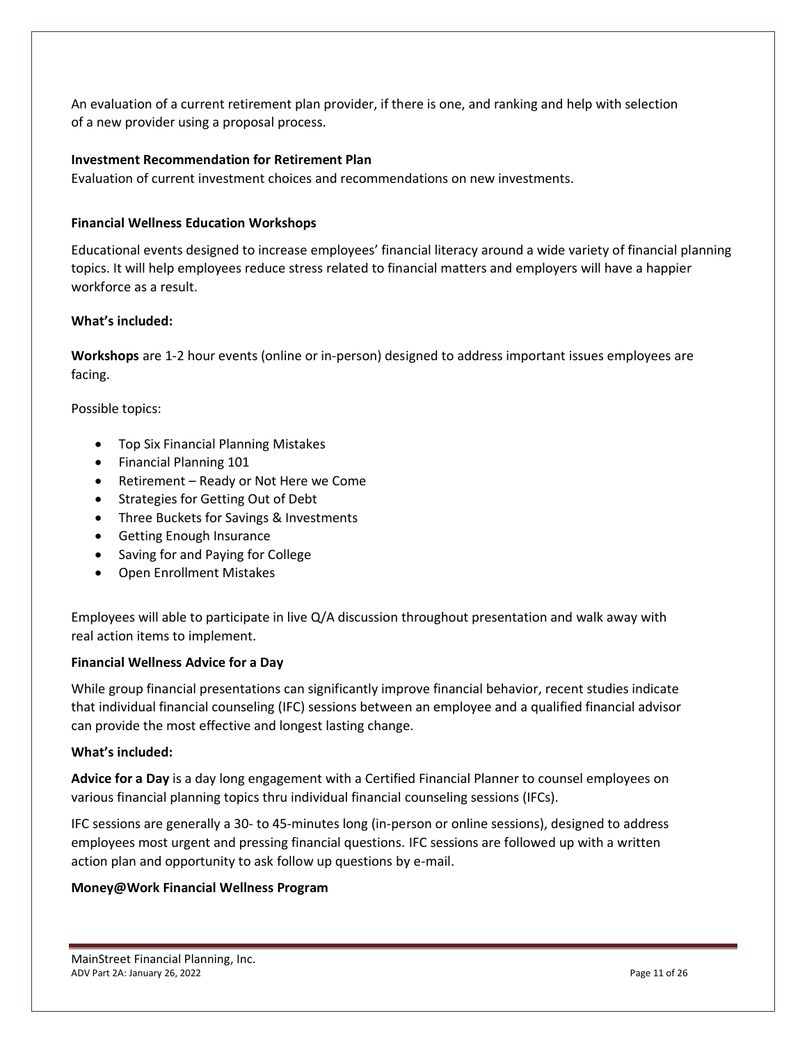An evaluation of a current retirement plan provider, if there is one, and ranking and help with selection of a new provider using a proposal process.

#### **Investment Recommendation for Retirement Plan**

Evaluation of current investment choices and recommendations on new investments.

#### **Financial Wellness Education Workshops**

Educational events designed to increase employees' financial literacy around a wide variety of financial planning topics. It will help employees reduce stress related to financial matters and employers will have a happier workforce as a result.

#### **What's included:**

**Workshops** are 1-2 hour events (online or in-person) designed to address important issues employees are facing.

Possible topics:

- Top Six Financial Planning Mistakes
- Financial Planning 101
- Retirement Ready or Not Here we Come
- Strategies for Getting Out of Debt
- Three Buckets for Savings & Investments
- Getting Enough Insurance
- Saving for and Paying for College
- Open Enrollment Mistakes

Employees will able to participate in live Q/A discussion throughout presentation and walk away with real action items to implement.

#### **Financial Wellness Advice for a Day**

While group financial presentations can significantly improve financial behavior, recent studies indicate that individual financial counseling (IFC) sessions between an employee and a qualified financial advisor can provide the most effective and longest lasting change.

#### **What's included:**

**Advice for a Day** is a day long engagement with a Certified Financial Planner to counsel employees on various financial planning topics thru individual financial counseling sessions (IFCs).

IFC sessions are generally a 30- to 45-minutes long (in-person or online sessions), designed to address employees most urgent and pressing financial questions. IFC sessions are followed up with a written action plan and opportunity to ask follow up questions by e-mail.

#### **Money@Work Financial Wellness Program**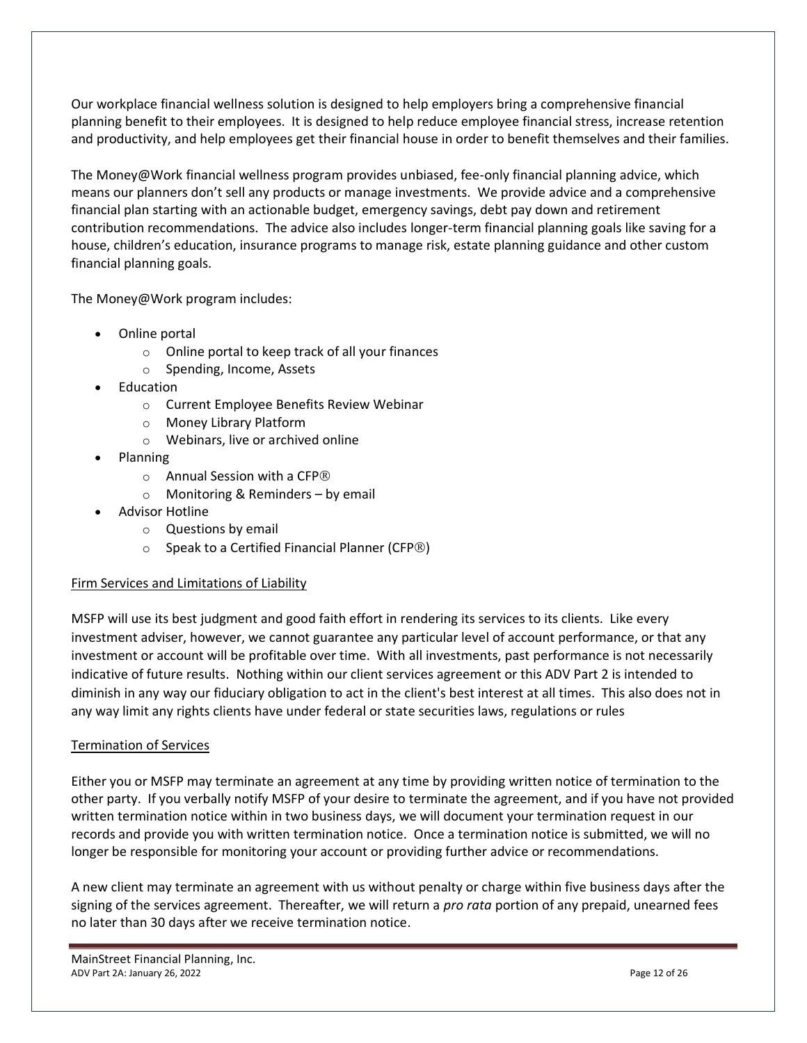Our workplace financial wellness solution is designed to help employers bring a comprehensive financial planning benefit to their employees. It is designed to help reduce employee financial stress, increase retention and productivity, and help employees get their financial house in order to benefit themselves and their families.

The Money@Work financial wellness program provides unbiased, fee-only financial planning advice, which means our planners don't sell any products or manage investments. We provide advice and a comprehensive financial plan starting with an actionable budget, emergency savings, debt pay down and retirement contribution recommendations. The advice also includes longer-term financial planning goals like saving for a house, children's education, insurance programs to manage risk, estate planning guidance and other custom financial planning goals.

The Money@Work program includes:

- Online portal
	- o Online portal to keep track of all your finances
	- o Spending, Income, Assets
- Education
	- o Current Employee Benefits Review Webinar
	- o Money Library Platform
	- o Webinars, live or archived online
- Planning
	- o Annual Session with a CFP
	- $\circ$  Monitoring & Reminders by email
- Advisor Hotline
	- o Questions by email
	- $\circ$  Speak to a Certified Financial Planner (CFP $\circledR$ )

#### Firm Services and Limitations of Liability

MSFP will use its best judgment and good faith effort in rendering its services to its clients. Like every investment adviser, however, we cannot guarantee any particular level of account performance, or that any investment or account will be profitable over time. With all investments, past performance is not necessarily indicative of future results. Nothing within our client services agreement or this ADV Part 2 is intended to diminish in any way our fiduciary obligation to act in the client's best interest at all times. This also does not in any way limit any rights clients have under federal or state securities laws, regulations or rules

#### Termination of Services

Either you or MSFP may terminate an agreement at any time by providing written notice of termination to the other party. If you verbally notify MSFP of your desire to terminate the agreement, and if you have not provided written termination notice within in two business days, we will document your termination request in our records and provide you with written termination notice. Once a termination notice is submitted, we will no longer be responsible for monitoring your account or providing further advice or recommendations.

A new client may terminate an agreement with us without penalty or charge within five business days after the signing of the services agreement. Thereafter, we will return a *pro rata* portion of any prepaid, unearned fees no later than 30 days after we receive termination notice.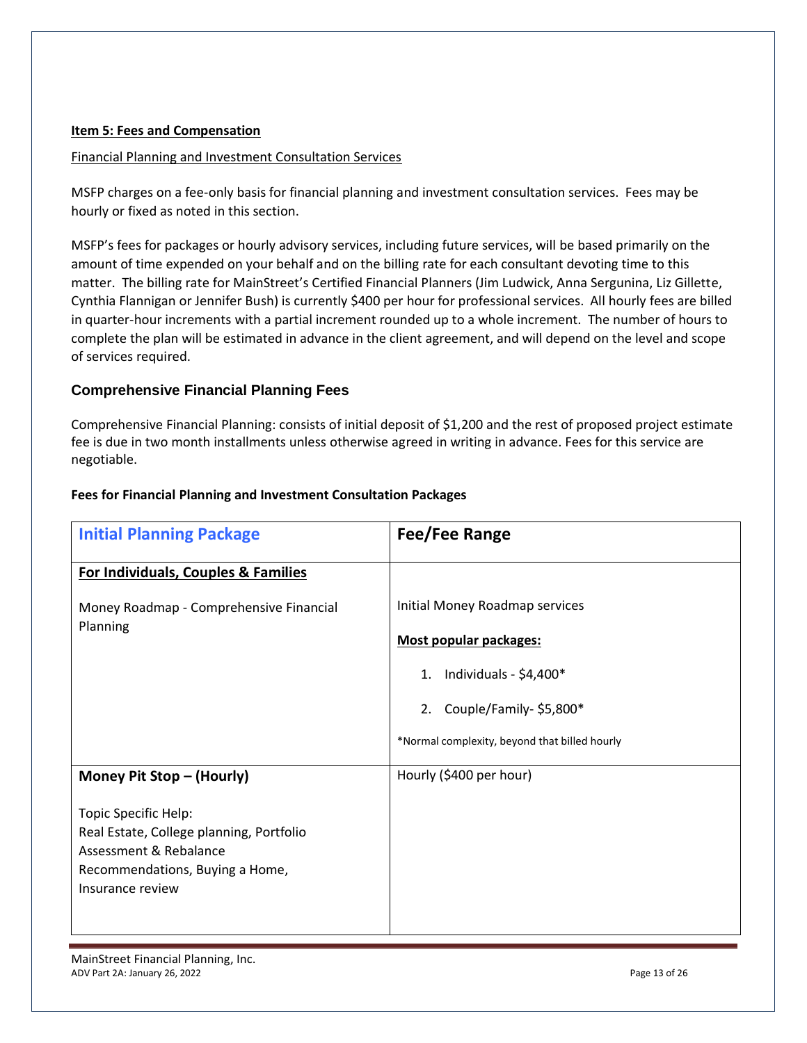#### <span id="page-12-0"></span>**Item 5: Fees and Compensation**

#### Financial Planning and Investment Consultation Services

MSFP charges on a fee-only basis for financial planning and investment consultation services. Fees may be hourly or fixed as noted in this section.

MSFP's fees for packages or hourly advisory services, including future services, will be based primarily on the amount of time expended on your behalf and on the billing rate for each consultant devoting time to this matter. The billing rate for MainStreet's Certified Financial Planners (Jim Ludwick, Anna Sergunina, Liz Gillette, Cynthia Flannigan or Jennifer Bush) is currently \$400 per hour for professional services. All hourly fees are billed in quarter-hour increments with a partial increment rounded up to a whole increment. The number of hours to complete the plan will be estimated in advance in the client agreement, and will depend on the level and scope of services required.

#### **Comprehensive Financial Planning Fees**

Comprehensive Financial Planning: consists of initial deposit of \$1,200 and the rest of proposed project estimate fee is due in two month installments unless otherwise agreed in writing in advance. Fees for this service are negotiable.

| <b>Fees for Financial Planning and Investment Consultation Packages</b> |  |
|-------------------------------------------------------------------------|--|
|-------------------------------------------------------------------------|--|

| <b>Initial Planning Package</b>                                                                                                                   | Fee/Fee Range                                 |
|---------------------------------------------------------------------------------------------------------------------------------------------------|-----------------------------------------------|
| For Individuals, Couples & Families                                                                                                               |                                               |
| Money Roadmap - Comprehensive Financial                                                                                                           | Initial Money Roadmap services                |
| Planning                                                                                                                                          | Most popular packages:                        |
|                                                                                                                                                   | 1. Individuals - $$4,400*$                    |
|                                                                                                                                                   | 2. Couple/Family-\$5,800*                     |
|                                                                                                                                                   | *Normal complexity, beyond that billed hourly |
| Money Pit Stop - (Hourly)                                                                                                                         | Hourly (\$400 per hour)                       |
| Topic Specific Help:<br>Real Estate, College planning, Portfolio<br>Assessment & Rebalance<br>Recommendations, Buying a Home,<br>Insurance review |                                               |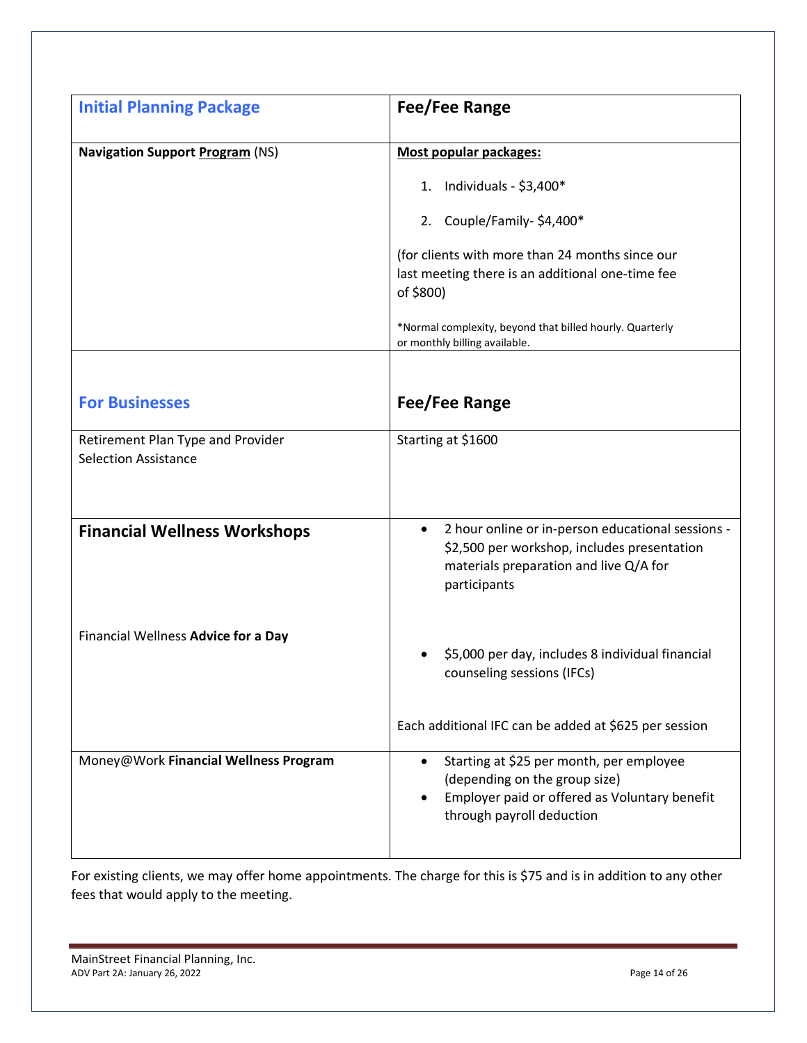| <b>Initial Planning Package</b>                                  | Fee/Fee Range                                                                                                                                                           |
|------------------------------------------------------------------|-------------------------------------------------------------------------------------------------------------------------------------------------------------------------|
| <b>Navigation Support Program (NS)</b>                           | <b>Most popular packages:</b>                                                                                                                                           |
|                                                                  | 1. Individuals - $$3,400*$                                                                                                                                              |
|                                                                  | 2. Couple/Family-\$4,400*                                                                                                                                               |
|                                                                  | (for clients with more than 24 months since our<br>last meeting there is an additional one-time fee<br>of \$800)                                                        |
|                                                                  | *Normal complexity, beyond that billed hourly. Quarterly<br>or monthly billing available.                                                                               |
| <b>For Businesses</b>                                            | <b>Fee/Fee Range</b>                                                                                                                                                    |
| Retirement Plan Type and Provider<br><b>Selection Assistance</b> | Starting at \$1600                                                                                                                                                      |
|                                                                  |                                                                                                                                                                         |
| <b>Financial Wellness Workshops</b>                              | 2 hour online or in-person educational sessions -<br>$\bullet$<br>\$2,500 per workshop, includes presentation<br>materials preparation and live Q/A for<br>participants |
| Financial Wellness Advice for a Day                              | \$5,000 per day, includes 8 individual financial<br>counseling sessions (IFCs)                                                                                          |
|                                                                  | Each additional IFC can be added at \$625 per session                                                                                                                   |
| Money@Work Financial Wellness Program                            | Starting at \$25 per month, per employee<br>$\bullet$<br>(depending on the group size)<br>Employer paid or offered as Voluntary benefit<br>through payroll deduction    |

For existing clients, we may offer home appointments. The charge for this is \$75 and is in addition to any other fees that would apply to the meeting.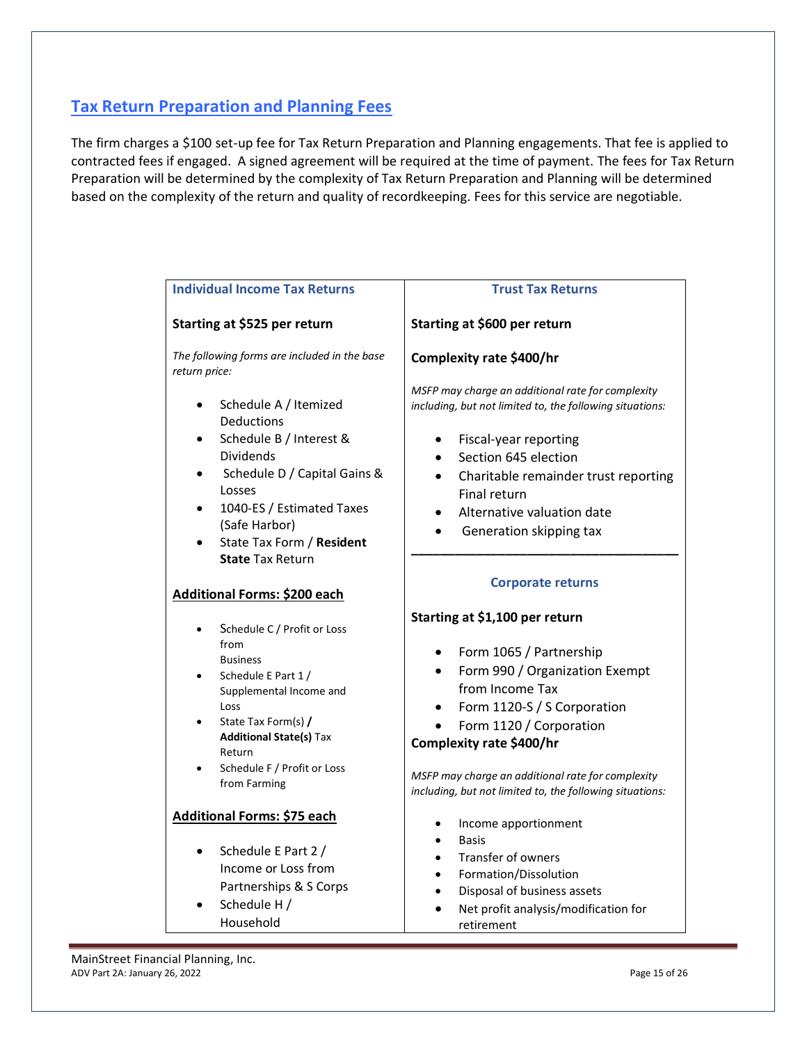## **Tax Return Preparation and Planning Fees**

The firm charges a \$100 set-up fee for Tax Return Preparation and Planning engagements. That fee is applied to contracted fees if engaged. A signed agreement will be required at the time of payment. The fees for Tax Return Preparation will be determined by the complexity of Tax Return Preparation and Planning will be determined based on the complexity of the return and quality of recordkeeping. Fees for this service are negotiable.

| <b>Individual Income Tax Returns</b>                                              | <b>Trust Tax Returns</b>                                                                                      |
|-----------------------------------------------------------------------------------|---------------------------------------------------------------------------------------------------------------|
| Starting at \$525 per return                                                      | Starting at \$600 per return                                                                                  |
| The following forms are included in the base<br>return price:                     | Complexity rate \$400/hr                                                                                      |
| Schedule A / Itemized<br>$\bullet$<br>Deductions                                  | MSFP may charge an additional rate for complexity<br>including, but not limited to, the following situations: |
| Schedule B / Interest &<br><b>Dividends</b>                                       | Fiscal-year reporting<br>$\bullet$<br>Section 645 election                                                    |
| Schedule D / Capital Gains &<br>Losses                                            | Charitable remainder trust reporting<br>Final return                                                          |
| 1040-ES / Estimated Taxes<br>(Safe Harbor)                                        | Alternative valuation date<br>Generation skipping tax                                                         |
| State Tax Form / Resident<br><b>State Tax Return</b>                              |                                                                                                               |
| <b>Additional Forms: \$200 each</b>                                               | <b>Corporate returns</b>                                                                                      |
| Schedule C / Profit or Loss<br>$\bullet$                                          | Starting at \$1,100 per return                                                                                |
| from<br><b>Business</b>                                                           | Form 1065 / Partnership                                                                                       |
| Schedule E Part 1 /<br>Supplemental Income and                                    | Form 990 / Organization Exempt<br>from Income Tax                                                             |
| Loss<br>State Tax Form(s) /                                                       | Form 1120-S / S Corporation<br>Form 1120 / Corporation                                                        |
| <b>Additional State(s) Tax</b><br>Return                                          | Complexity rate \$400/hr                                                                                      |
| Schedule F / Profit or Loss<br>$\bullet$<br>from Farming                          | MSFP may charge an additional rate for complexity<br>including, but not limited to, the following situations: |
| Additional Forms: \$75 each                                                       | Income apportionment                                                                                          |
| Schedule E Part 2 /<br>$\bullet$<br>Income or Loss from<br>Partnerships & S Corps | <b>Basis</b><br><b>Transfer of owners</b><br>Formation/Dissolution<br>Disposal of business assets             |
| Schedule H /<br>Household                                                         | Net profit analysis/modification for<br>retirement                                                            |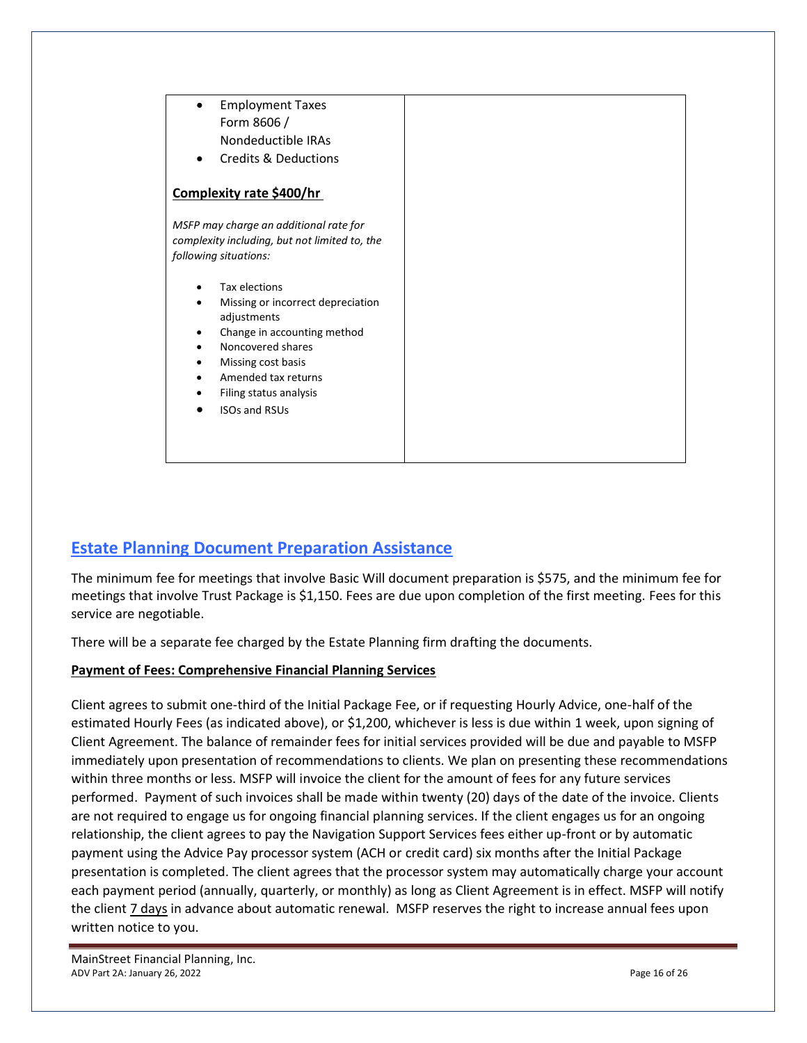

## **Estate Planning Document Preparation Assistance**

The minimum fee for meetings that involve Basic Will document preparation is \$575, and the minimum fee for meetings that involve Trust Package is \$1,150. Fees are due upon completion of the first meeting. Fees for this service are negotiable.

There will be a separate fee charged by the Estate Planning firm drafting the documents.

#### **Payment of Fees: Comprehensive Financial Planning Services**

Client agrees to submit one-third of the Initial Package Fee, or if requesting Hourly Advice, one-half of the estimated Hourly Fees (as indicated above), or \$1,200, whichever is less is due within 1 week, upon signing of Client Agreement. The balance of remainder fees for initial services provided will be due and payable to MSFP immediately upon presentation of recommendations to clients. We plan on presenting these recommendations within three months or less. MSFP will invoice the client for the amount of fees for any future services performed. Payment of such invoices shall be made within twenty (20) days of the date of the invoice. Clients are not required to engage us for ongoing financial planning services. If the client engages us for an ongoing relationship, the client agrees to pay the Navigation Support Services fees either up-front or by automatic payment using the Advice Pay processor system (ACH or credit card) six months after the Initial Package presentation is completed. The client agrees that the processor system may automatically charge your account each payment period (annually, quarterly, or monthly) as long as Client Agreement is in effect. MSFP will notify the client 7 days in advance about automatic renewal. MSFP reserves the right to increase annual fees upon written notice to you.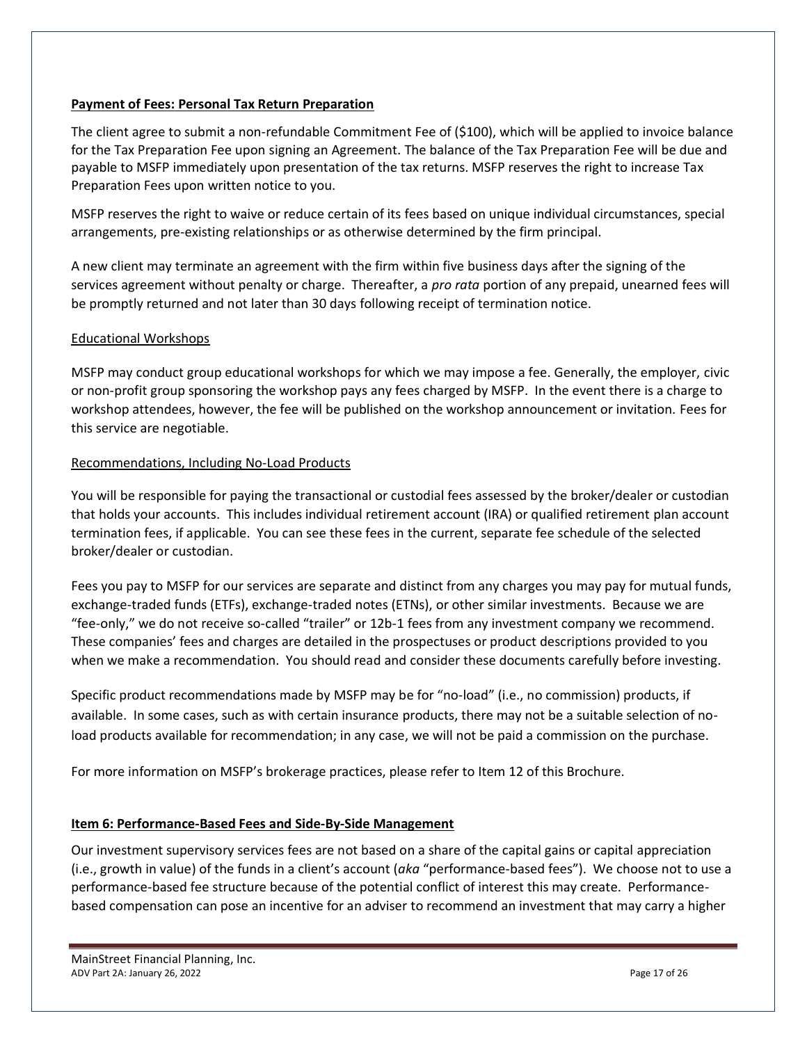#### **Payment of Fees: Personal Tax Return Preparation**

The client agree to submit a non-refundable Commitment Fee of (\$100), which will be applied to invoice balance for the Tax Preparation Fee upon signing an Agreement. The balance of the Tax Preparation Fee will be due and payable to MSFP immediately upon presentation of the tax returns. MSFP reserves the right to increase Tax Preparation Fees upon written notice to you.

MSFP reserves the right to waive or reduce certain of its fees based on unique individual circumstances, special arrangements, pre-existing relationships or as otherwise determined by the firm principal.

A new client may terminate an agreement with the firm within five business days after the signing of the services agreement without penalty or charge. Thereafter, a *pro rata* portion of any prepaid, unearned fees will be promptly returned and not later than 30 days following receipt of termination notice.

#### Educational Workshops

MSFP may conduct group educational workshops for which we may impose a fee. Generally, the employer, civic or non-profit group sponsoring the workshop pays any fees charged by MSFP. In the event there is a charge to workshop attendees, however, the fee will be published on the workshop announcement or invitation. Fees for this service are negotiable.

#### Recommendations, Including No-Load Products

You will be responsible for paying the transactional or custodial fees assessed by the broker/dealer or custodian that holds your accounts. This includes individual retirement account (IRA) or qualified retirement plan account termination fees, if applicable. You can see these fees in the current, separate fee schedule of the selected broker/dealer or custodian.

Fees you pay to MSFP for our services are separate and distinct from any charges you may pay for mutual funds, exchange-traded funds (ETFs), exchange-traded notes (ETNs), or other similar investments. Because we are "fee-only," we do not receive so-called "trailer" or 12b-1 fees from any investment company we recommend. These companies' fees and charges are detailed in the prospectuses or product descriptions provided to you when we make a recommendation. You should read and consider these documents carefully before investing.

Specific product recommendations made by MSFP may be for "no-load" (i.e., no commission) products, if available. In some cases, such as with certain insurance products, there may not be a suitable selection of noload products available for recommendation; in any case, we will not be paid a commission on the purchase.

For more information on MSFP's brokerage practices, please refer to Item 12 of this Brochure.

#### <span id="page-16-0"></span>**Item 6: Performance-Based Fees and Side-By-Side Management**

Our investment supervisory services fees are not based on a share of the capital gains or capital appreciation (i.e., growth in value) of the funds in a client's account (*aka* "performance-based fees"). We choose not to use a performance-based fee structure because of the potential conflict of interest this may create. Performancebased compensation can pose an incentive for an adviser to recommend an investment that may carry a higher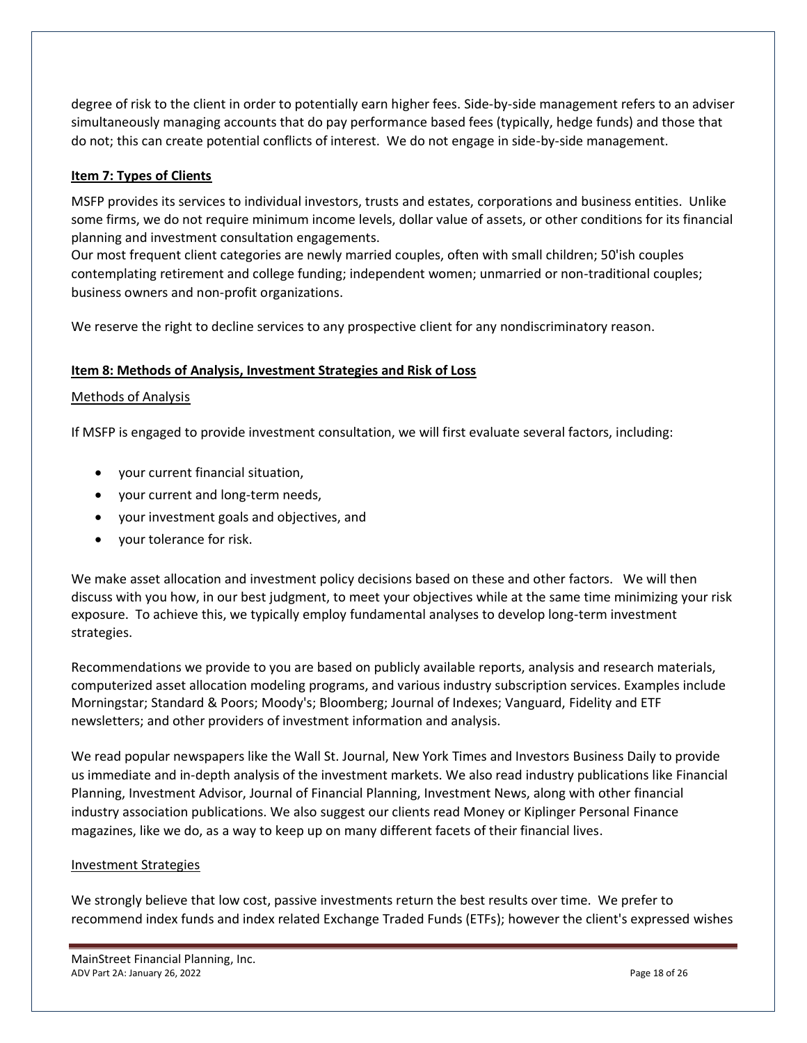degree of risk to the client in order to potentially earn higher fees. Side-by-side management refers to an adviser simultaneously managing accounts that do pay performance based fees (typically, hedge funds) and those that do not; this can create potential conflicts of interest. We do not engage in side-by-side management.

#### <span id="page-17-0"></span>**Item 7: Types of Clients**

MSFP provides its services to individual investors, trusts and estates, corporations and business entities. Unlike some firms, we do not require minimum income levels, dollar value of assets, or other conditions for its financial planning and investment consultation engagements.

Our most frequent client categories are newly married couples, often with small children; 50'ish couples contemplating retirement and college funding; independent women; unmarried or non-traditional couples; business owners and non-profit organizations.

We reserve the right to decline services to any prospective client for any nondiscriminatory reason.

#### <span id="page-17-1"></span>**Item 8: Methods of Analysis, Investment Strategies and Risk of Loss**

#### Methods of Analysis

If MSFP is engaged to provide investment consultation, we will first evaluate several factors, including:

- your current financial situation,
- your current and long-term needs,
- your investment goals and objectives, and
- your tolerance for risk.

We make asset allocation and investment policy decisions based on these and other factors. We will then discuss with you how, in our best judgment, to meet your objectives while at the same time minimizing your risk exposure. To achieve this, we typically employ fundamental analyses to develop long-term investment strategies.

Recommendations we provide to you are based on publicly available reports, analysis and research materials, computerized asset allocation modeling programs, and various industry subscription services. Examples include Morningstar; Standard & Poors; Moody's; Bloomberg; Journal of Indexes; Vanguard, Fidelity and ETF newsletters; and other providers of investment information and analysis.

We read popular newspapers like the Wall St. Journal, New York Times and Investors Business Daily to provide us immediate and in-depth analysis of the investment markets. We also read industry publications like Financial Planning, Investment Advisor, Journal of Financial Planning, Investment News, along with other financial industry association publications. We also suggest our clients read Money or Kiplinger Personal Finance magazines, like we do, as a way to keep up on many different facets of their financial lives.

#### Investment Strategies

We strongly believe that low cost, passive investments return the best results over time. We prefer to recommend index funds and index related Exchange Traded Funds (ETFs); however the client's expressed wishes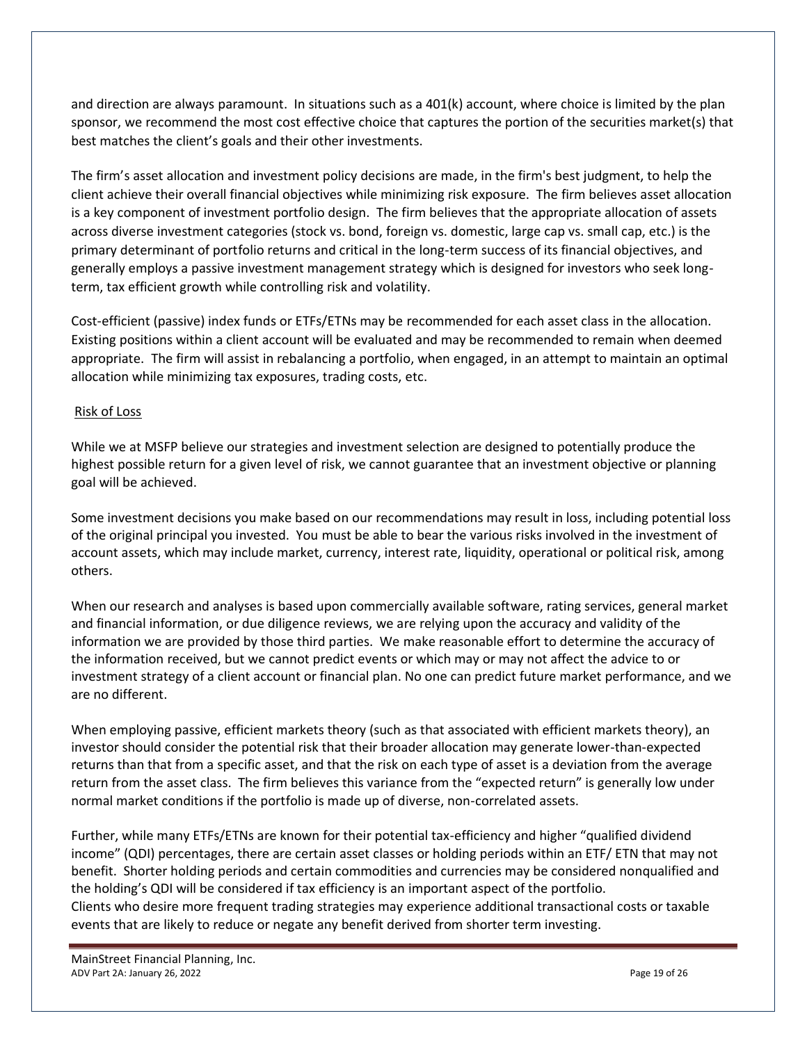and direction are always paramount. In situations such as a 401(k) account, where choice is limited by the plan sponsor, we recommend the most cost effective choice that captures the portion of the securities market(s) that best matches the client's goals and their other investments.

The firm's asset allocation and investment policy decisions are made, in the firm's best judgment, to help the client achieve their overall financial objectives while minimizing risk exposure. The firm believes asset allocation is a key component of investment portfolio design. The firm believes that the appropriate allocation of assets across diverse investment categories (stock vs. bond, foreign vs. domestic, large cap vs. small cap, etc.) is the primary determinant of portfolio returns and critical in the long-term success of its financial objectives, and generally employs a passive investment management strategy which is designed for investors who seek longterm, tax efficient growth while controlling risk and volatility.

Cost-efficient (passive) index funds or ETFs/ETNs may be recommended for each asset class in the allocation. Existing positions within a client account will be evaluated and may be recommended to remain when deemed appropriate. The firm will assist in rebalancing a portfolio, when engaged, in an attempt to maintain an optimal allocation while minimizing tax exposures, trading costs, etc.

#### Risk of Loss

While we at MSFP believe our strategies and investment selection are designed to potentially produce the highest possible return for a given level of risk, we cannot guarantee that an investment objective or planning goal will be achieved.

Some investment decisions you make based on our recommendations may result in loss, including potential loss of the original principal you invested. You must be able to bear the various risks involved in the investment of account assets, which may include market, currency, interest rate, liquidity, operational or political risk, among others.

When our research and analyses is based upon commercially available software, rating services, general market and financial information, or due diligence reviews, we are relying upon the accuracy and validity of the information we are provided by those third parties. We make reasonable effort to determine the accuracy of the information received, but we cannot predict events or which may or may not affect the advice to or investment strategy of a client account or financial plan. No one can predict future market performance, and we are no different.

When employing passive, efficient markets theory (such as that associated with efficient markets theory), an investor should consider the potential risk that their broader allocation may generate lower-than-expected returns than that from a specific asset, and that the risk on each type of asset is a deviation from the average return from the asset class. The firm believes this variance from the "expected return" is generally low under normal market conditions if the portfolio is made up of diverse, non-correlated assets.

Further, while many ETFs/ETNs are known for their potential tax-efficiency and higher "qualified dividend income" (QDI) percentages, there are certain asset classes or holding periods within an ETF/ ETN that may not benefit. Shorter holding periods and certain commodities and currencies may be considered nonqualified and the holding's QDI will be considered if tax efficiency is an important aspect of the portfolio. Clients who desire more frequent trading strategies may experience additional transactional costs or taxable events that are likely to reduce or negate any benefit derived from shorter term investing.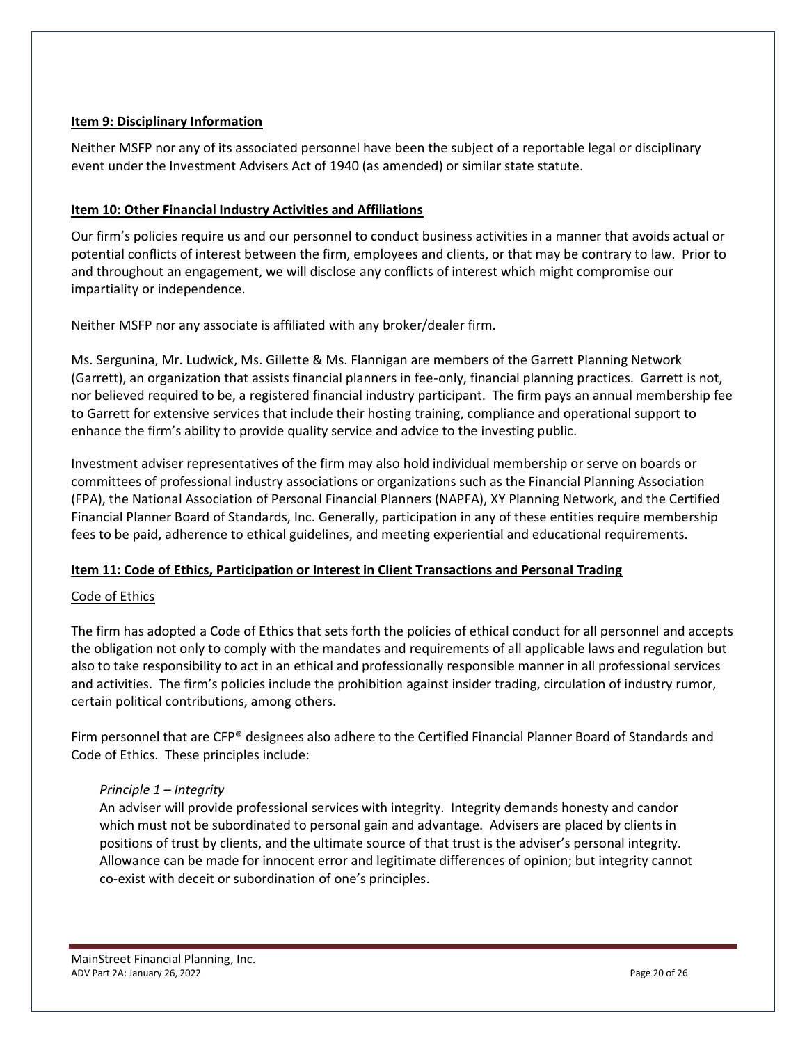#### <span id="page-19-0"></span>**Item 9: Disciplinary Information**

Neither MSFP nor any of its associated personnel have been the subject of a reportable legal or disciplinary event under the Investment Advisers Act of 1940 (as amended) or similar state statute.

#### <span id="page-19-1"></span>**Item 10: Other Financial Industry Activities and Affiliations**

Our firm's policies require us and our personnel to conduct business activities in a manner that avoids actual or potential conflicts of interest between the firm, employees and clients, or that may be contrary to law. Prior to and throughout an engagement, we will disclose any conflicts of interest which might compromise our impartiality or independence.

Neither MSFP nor any associate is affiliated with any broker/dealer firm.

Ms. Sergunina, Mr. Ludwick, Ms. Gillette & Ms. Flannigan are members of the Garrett Planning Network (Garrett), an organization that assists financial planners in fee-only, financial planning practices. Garrett is not, nor believed required to be, a registered financial industry participant. The firm pays an annual membership fee to Garrett for extensive services that include their hosting training, compliance and operational support to enhance the firm's ability to provide quality service and advice to the investing public.

Investment adviser representatives of the firm may also hold individual membership or serve on boards or committees of professional industry associations or organizations such as the Financial Planning Association (FPA), the National Association of Personal Financial Planners (NAPFA), XY Planning Network, and the Certified Financial Planner Board of Standards, Inc. Generally, participation in any of these entities require membership fees to be paid, adherence to ethical guidelines, and meeting experiential and educational requirements.

#### <span id="page-19-2"></span>**Item 11: Code of Ethics, Participation or Interest in Client Transactions and Personal Trading**

#### Code of Ethics

The firm has adopted a Code of Ethics that sets forth the policies of ethical conduct for all personnel and accepts the obligation not only to comply with the mandates and requirements of all applicable laws and regulation but also to take responsibility to act in an ethical and professionally responsible manner in all professional services and activities. The firm's policies include the prohibition against insider trading, circulation of industry rumor, certain political contributions, among others.

Firm personnel that are CFP® designees also adhere to the Certified Financial Planner Board of Standards and Code of Ethics. These principles include:

#### *Principle 1 – Integrity*

An adviser will provide professional services with integrity. Integrity demands honesty and candor which must not be subordinated to personal gain and advantage. Advisers are placed by clients in positions of trust by clients, and the ultimate source of that trust is the adviser's personal integrity. Allowance can be made for innocent error and legitimate differences of opinion; but integrity cannot co-exist with deceit or subordination of one's principles.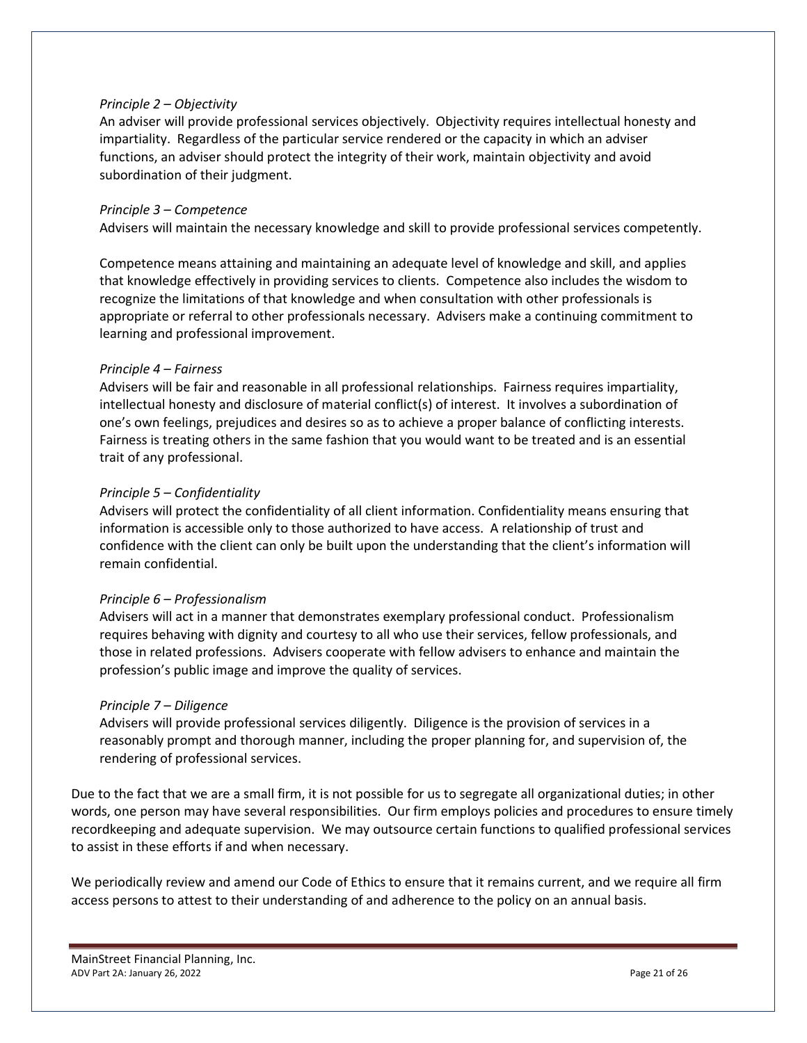#### *Principle 2 – Objectivity*

An adviser will provide professional services objectively. Objectivity requires intellectual honesty and impartiality. Regardless of the particular service rendered or the capacity in which an adviser functions, an adviser should protect the integrity of their work, maintain objectivity and avoid subordination of their judgment.

#### *Principle 3 – Competence*

Advisers will maintain the necessary knowledge and skill to provide professional services competently.

Competence means attaining and maintaining an adequate level of knowledge and skill, and applies that knowledge effectively in providing services to clients. Competence also includes the wisdom to recognize the limitations of that knowledge and when consultation with other professionals is appropriate or referral to other professionals necessary. Advisers make a continuing commitment to learning and professional improvement.

#### *Principle 4 – Fairness*

Advisers will be fair and reasonable in all professional relationships. Fairness requires impartiality, intellectual honesty and disclosure of material conflict(s) of interest. It involves a subordination of one's own feelings, prejudices and desires so as to achieve a proper balance of conflicting interests. Fairness is treating others in the same fashion that you would want to be treated and is an essential trait of any professional.

#### *Principle 5 – Confidentiality*

Advisers will protect the confidentiality of all client information. Confidentiality means ensuring that information is accessible only to those authorized to have access. A relationship of trust and confidence with the client can only be built upon the understanding that the client's information will remain confidential.

#### *Principle 6 – Professionalism*

Advisers will act in a manner that demonstrates exemplary professional conduct. Professionalism requires behaving with dignity and courtesy to all who use their services, fellow professionals, and those in related professions. Advisers cooperate with fellow advisers to enhance and maintain the profession's public image and improve the quality of services.

#### *Principle 7 – Diligence*

Advisers will provide professional services diligently. Diligence is the provision of services in a reasonably prompt and thorough manner, including the proper planning for, and supervision of, the rendering of professional services.

Due to the fact that we are a small firm, it is not possible for us to segregate all organizational duties; in other words, one person may have several responsibilities. Our firm employs policies and procedures to ensure timely recordkeeping and adequate supervision. We may outsource certain functions to qualified professional services to assist in these efforts if and when necessary.

We periodically review and amend our Code of Ethics to ensure that it remains current, and we require all firm access persons to attest to their understanding of and adherence to the policy on an annual basis.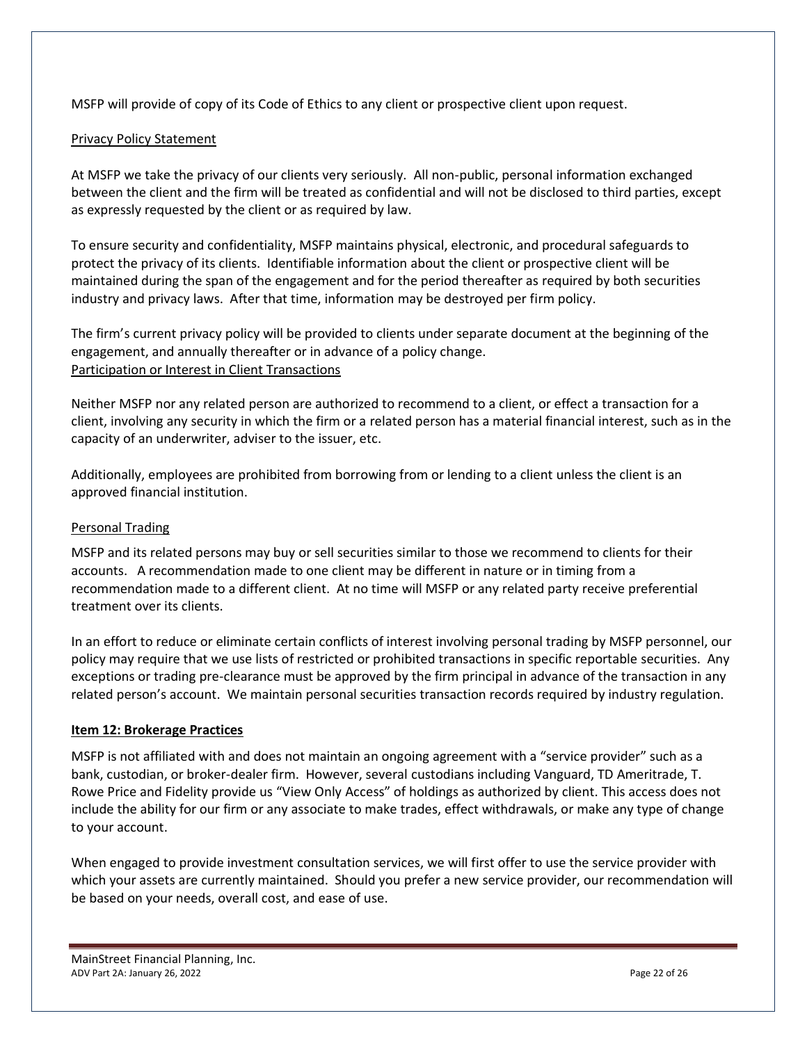MSFP will provide of copy of its Code of Ethics to any client or prospective client upon request.

#### Privacy Policy Statement

At MSFP we take the privacy of our clients very seriously. All non-public, personal information exchanged between the client and the firm will be treated as confidential and will not be disclosed to third parties, except as expressly requested by the client or as required by law.

To ensure security and confidentiality, MSFP maintains physical, electronic, and procedural safeguards to protect the privacy of its clients. Identifiable information about the client or prospective client will be maintained during the span of the engagement and for the period thereafter as required by both securities industry and privacy laws. After that time, information may be destroyed per firm policy.

The firm's current privacy policy will be provided to clients under separate document at the beginning of the engagement, and annually thereafter or in advance of a policy change. Participation or Interest in Client Transactions

Neither MSFP nor any related person are authorized to recommend to a client, or effect a transaction for a client, involving any security in which the firm or a related person has a material financial interest, such as in the capacity of an underwriter, adviser to the issuer, etc.

Additionally, employees are prohibited from borrowing from or lending to a client unless the client is an approved financial institution.

#### Personal Trading

MSFP and its related persons may buy or sell securities similar to those we recommend to clients for their accounts. A recommendation made to one client may be different in nature or in timing from a recommendation made to a different client. At no time will MSFP or any related party receive preferential treatment over its clients.

In an effort to reduce or eliminate certain conflicts of interest involving personal trading by MSFP personnel, our policy may require that we use lists of restricted or prohibited transactions in specific reportable securities. Any exceptions or trading pre-clearance must be approved by the firm principal in advance of the transaction in any related person's account. We maintain personal securities transaction records required by industry regulation.

#### <span id="page-21-0"></span>**Item 12: Brokerage Practices**

MSFP is not affiliated with and does not maintain an ongoing agreement with a "service provider" such as a bank, custodian, or broker-dealer firm. However, several custodians including Vanguard, TD Ameritrade, T. Rowe Price and Fidelity provide us "View Only Access" of holdings as authorized by client. This access does not include the ability for our firm or any associate to make trades, effect withdrawals, or make any type of change to your account.

When engaged to provide investment consultation services, we will first offer to use the service provider with which your assets are currently maintained. Should you prefer a new service provider, our recommendation will be based on your needs, overall cost, and ease of use.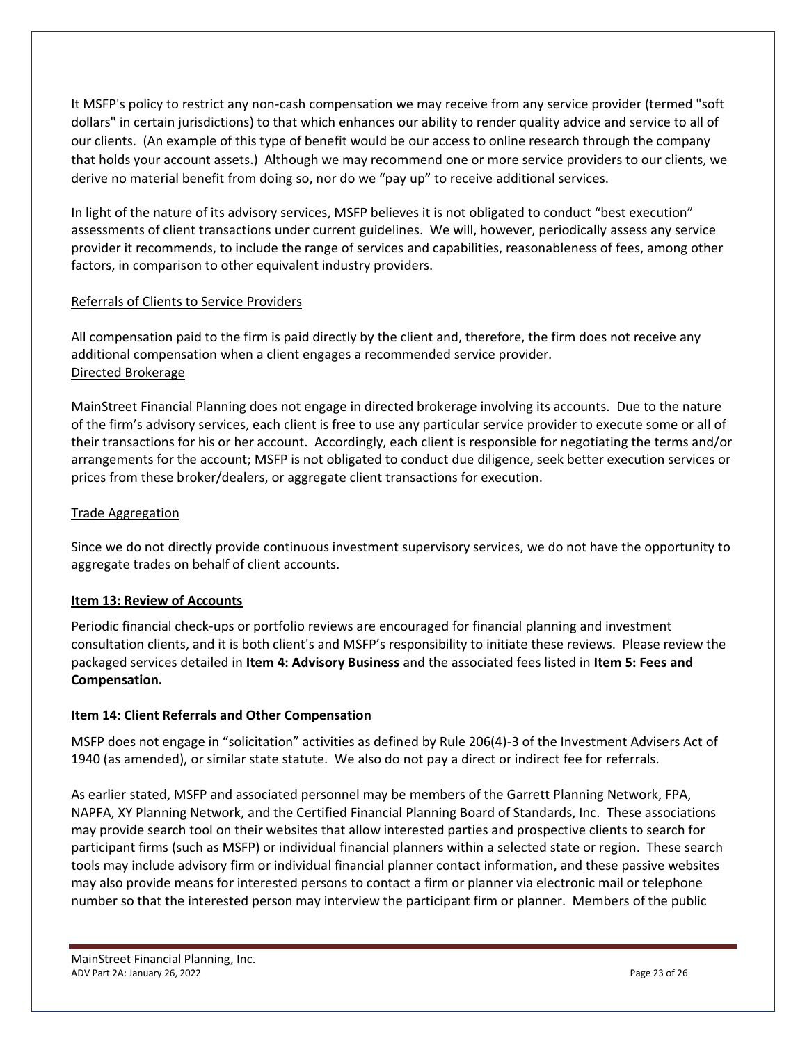It MSFP's policy to restrict any non-cash compensation we may receive from any service provider (termed "soft dollars" in certain jurisdictions) to that which enhances our ability to render quality advice and service to all of our clients. (An example of this type of benefit would be our access to online research through the company that holds your account assets.) Although we may recommend one or more service providers to our clients, we derive no material benefit from doing so, nor do we "pay up" to receive additional services.

In light of the nature of its advisory services, MSFP believes it is not obligated to conduct "best execution" assessments of client transactions under current guidelines. We will, however, periodically assess any service provider it recommends, to include the range of services and capabilities, reasonableness of fees, among other factors, in comparison to other equivalent industry providers.

#### Referrals of Clients to Service Providers

All compensation paid to the firm is paid directly by the client and, therefore, the firm does not receive any additional compensation when a client engages a recommended service provider. Directed Brokerage

MainStreet Financial Planning does not engage in directed brokerage involving its accounts. Due to the nature of the firm's advisory services, each client is free to use any particular service provider to execute some or all of their transactions for his or her account. Accordingly, each client is responsible for negotiating the terms and/or arrangements for the account; MSFP is not obligated to conduct due diligence, seek better execution services or prices from these broker/dealers, or aggregate client transactions for execution.

#### Trade Aggregation

Since we do not directly provide continuous investment supervisory services, we do not have the opportunity to aggregate trades on behalf of client accounts.

#### <span id="page-22-0"></span>**Item 13: Review of Accounts**

Periodic financial check-ups or portfolio reviews are encouraged for financial planning and investment consultation clients, and it is both client's and MSFP's responsibility to initiate these reviews. Please review the packaged services detailed in **Item 4: Advisory Business** and the associated fees listed in **Item 5: Fees and Compensation.**

#### <span id="page-22-1"></span>**Item 14: Client Referrals and Other Compensation**

MSFP does not engage in "solicitation" activities as defined by Rule 206(4)-3 of the Investment Advisers Act of 1940 (as amended), or similar state statute. We also do not pay a direct or indirect fee for referrals.

As earlier stated, MSFP and associated personnel may be members of the Garrett Planning Network, FPA, NAPFA, XY Planning Network, and the Certified Financial Planning Board of Standards, Inc. These associations may provide search tool on their websites that allow interested parties and prospective clients to search for participant firms (such as MSFP) or individual financial planners within a selected state or region. These search tools may include advisory firm or individual financial planner contact information, and these passive websites may also provide means for interested persons to contact a firm or planner via electronic mail or telephone number so that the interested person may interview the participant firm or planner. Members of the public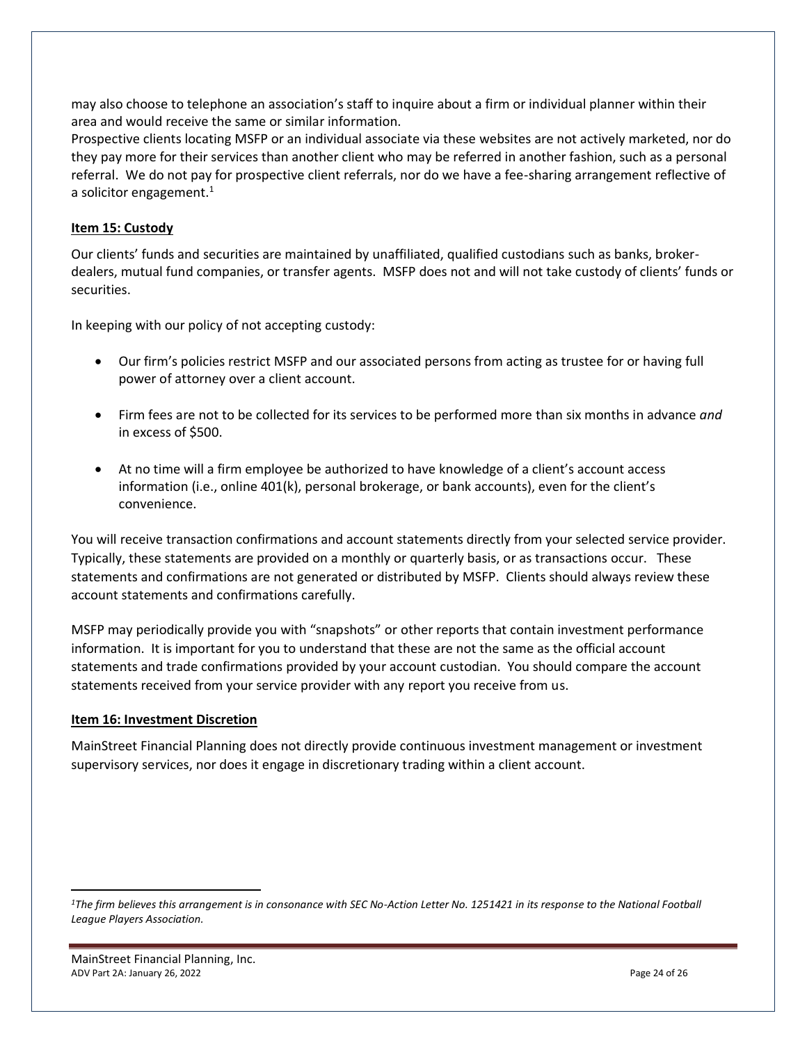may also choose to telephone an association's staff to inquire about a firm or individual planner within their area and would receive the same or similar information.

Prospective clients locating MSFP or an individual associate via these websites are not actively marketed, nor do they pay more for their services than another client who may be referred in another fashion, such as a personal referral. We do not pay for prospective client referrals, nor do we have a fee-sharing arrangement reflective of a solicitor engagement.<sup>1</sup>

#### <span id="page-23-0"></span>**Item 15: Custody**

Our clients' funds and securities are maintained by unaffiliated, qualified custodians such as banks, brokerdealers, mutual fund companies, or transfer agents. MSFP does not and will not take custody of clients' funds or securities.

In keeping with our policy of not accepting custody:

- Our firm's policies restrict MSFP and our associated persons from acting as trustee for or having full power of attorney over a client account.
- Firm fees are not to be collected for its services to be performed more than six months in advance *and* in excess of \$500.
- At no time will a firm employee be authorized to have knowledge of a client's account access information (i.e., online 401(k), personal brokerage, or bank accounts), even for the client's convenience.

You will receive transaction confirmations and account statements directly from your selected service provider. Typically, these statements are provided on a monthly or quarterly basis, or as transactions occur. These statements and confirmations are not generated or distributed by MSFP. Clients should always review these account statements and confirmations carefully.

MSFP may periodically provide you with "snapshots" or other reports that contain investment performance information. It is important for you to understand that these are not the same as the official account statements and trade confirmations provided by your account custodian. You should compare the account statements received from your service provider with any report you receive from us.

#### <span id="page-23-1"></span>**Item 16: Investment Discretion**

<span id="page-23-2"></span>MainStreet Financial Planning does not directly provide continuous investment management or investment supervisory services, nor does it engage in discretionary trading within a client account.

*<sup>1</sup>The firm believes this arrangement is in consonance with SEC No-Action Letter No. 1251421 in its response to the National Football League Players Association.*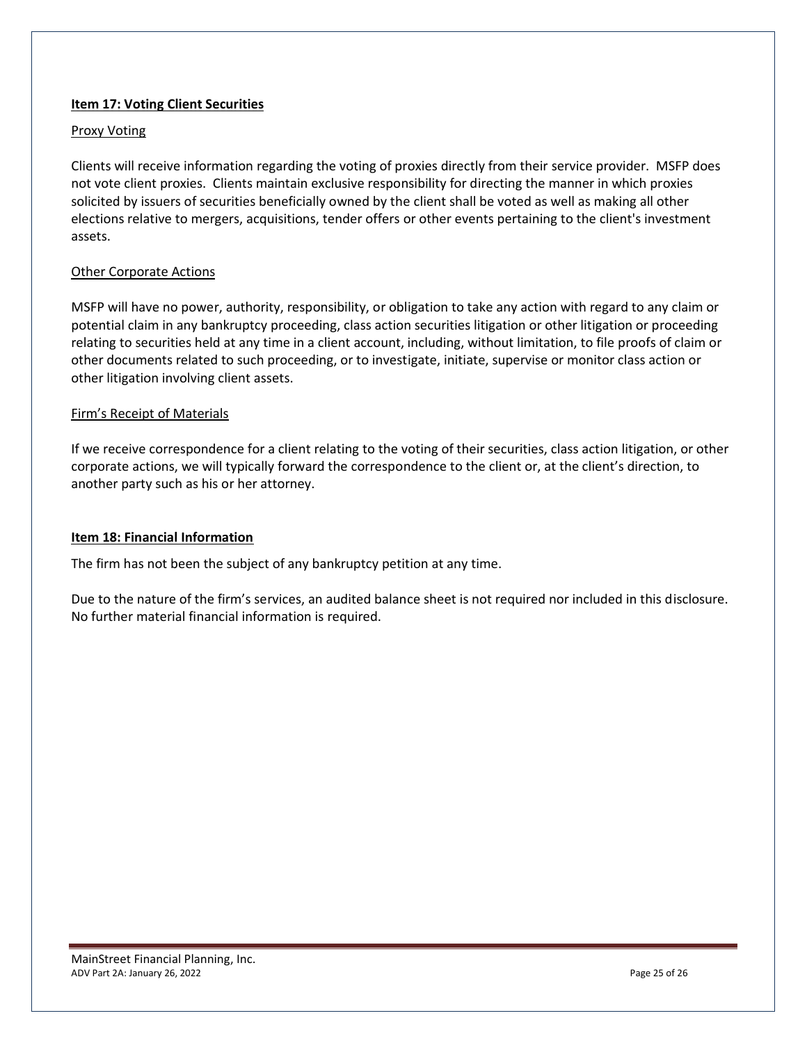#### **Item 17: Voting Client Securities**

#### Proxy Voting

Clients will receive information regarding the voting of proxies directly from their service provider. MSFP does not vote client proxies. Clients maintain exclusive responsibility for directing the manner in which proxies solicited by issuers of securities beneficially owned by the client shall be voted as well as making all other elections relative to mergers, acquisitions, tender offers or other events pertaining to the client's investment assets.

#### Other Corporate Actions

MSFP will have no power, authority, responsibility, or obligation to take any action with regard to any claim or potential claim in any bankruptcy proceeding, class action securities litigation or other litigation or proceeding relating to securities held at any time in a client account, including, without limitation, to file proofs of claim or other documents related to such proceeding, or to investigate, initiate, supervise or monitor class action or other litigation involving client assets.

#### Firm's Receipt of Materials

If we receive correspondence for a client relating to the voting of their securities, class action litigation, or other corporate actions, we will typically forward the correspondence to the client or, at the client's direction, to another party such as his or her attorney.

#### <span id="page-24-0"></span>**Item 18: Financial Information**

The firm has not been the subject of any bankruptcy petition at any time.

Due to the nature of the firm's services, an audited balance sheet is not required nor included in this disclosure. No further material financial information is required.